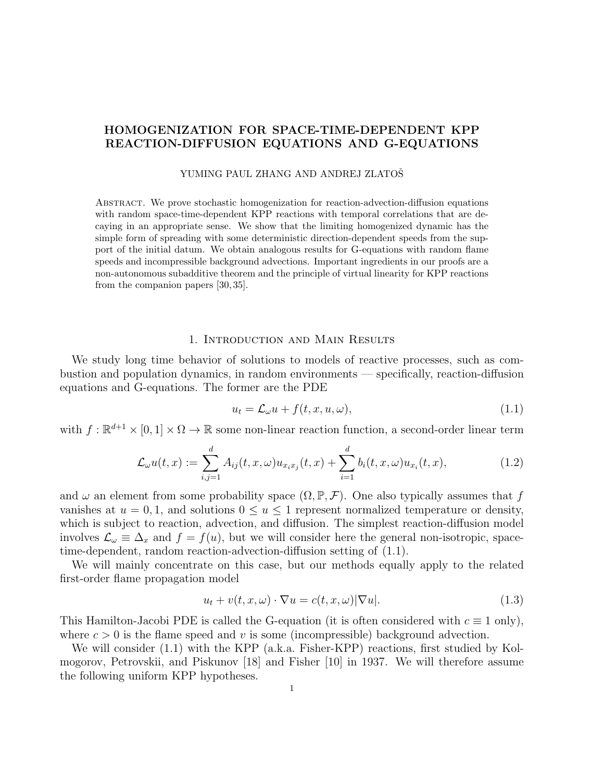# HOMOGENIZATION FOR SPACE-TIME-DEPENDENT KPP REACTION-DIFFUSION EQUATIONS AND G-EQUATIONS

#### YUMING PAUL ZHANG AND ANDREJ ZLATOŠ

Abstract. We prove stochastic homogenization for reaction-advection-diffusion equations with random space-time-dependent KPP reactions with temporal correlations that are decaying in an appropriate sense. We show that the limiting homogenized dynamic has the simple form of spreading with some deterministic direction-dependent speeds from the support of the initial datum. We obtain analogous results for G-equations with random flame speeds and incompressible background advections. Important ingredients in our proofs are a non-autonomous subadditive theorem and the principle of virtual linearity for KPP reactions from the companion papers [30, 35].

### 1. Introduction and Main Results

We study long time behavior of solutions to models of reactive processes, such as combustion and population dynamics, in random environments — specifically, reaction-diffusion equations and G-equations. The former are the PDE

$$
u_t = \mathcal{L}_{\omega} u + f(t, x, u, \omega), \tag{1.1}
$$

with  $f : \mathbb{R}^{d+1} \times [0,1] \times \Omega \to \mathbb{R}$  some non-linear reaction function, a second-order linear term

$$
\mathcal{L}_{\omega}u(t,x) := \sum_{i,j=1}^{d} A_{ij}(t,x,\omega)u_{x_ix_j}(t,x) + \sum_{i=1}^{d} b_i(t,x,\omega)u_{x_i}(t,x),
$$
\n(1.2)

and  $\omega$  an element from some probability space  $(\Omega, \mathbb{P}, \mathcal{F})$ . One also typically assumes that f vanishes at  $u = 0, 1$ , and solutions  $0 \le u \le 1$  represent normalized temperature or density, which is subject to reaction, advection, and diffusion. The simplest reaction-diffusion model involves  $\mathcal{L}_{\omega} \equiv \Delta_x$  and  $f = f(u)$ , but we will consider here the general non-isotropic, spacetime-dependent, random reaction-advection-diffusion setting of (1.1).

We will mainly concentrate on this case, but our methods equally apply to the related first-order flame propagation model

$$
u_t + v(t, x, \omega) \cdot \nabla u = c(t, x, \omega) |\nabla u|.
$$
\n(1.3)

This Hamilton-Jacobi PDE is called the G-equation (it is often considered with  $c \equiv 1$  only), where  $c > 0$  is the flame speed and v is some (incompressible) background advection.

We will consider (1.1) with the KPP (a.k.a. Fisher-KPP) reactions, first studied by Kolmogorov, Petrovskii, and Piskunov [18] and Fisher [10] in 1937. We will therefore assume the following uniform KPP hypotheses.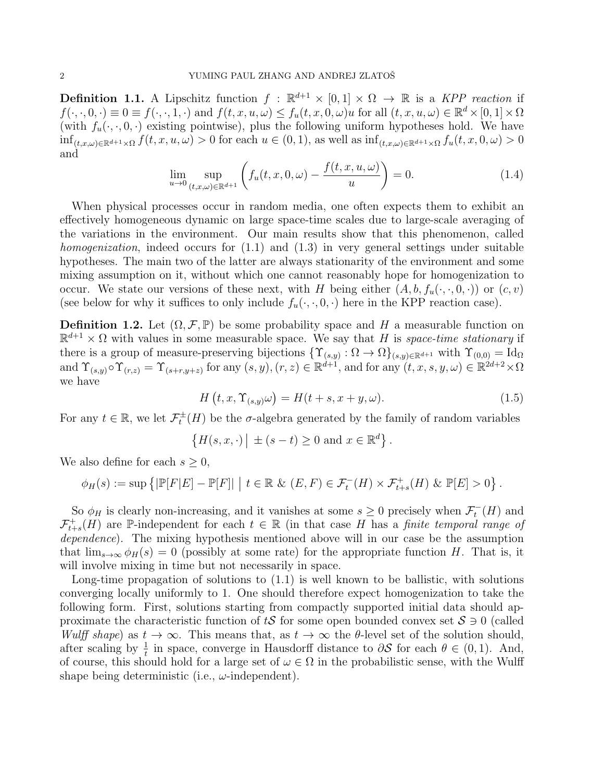**Definition 1.1.** A Lipschitz function  $f : \mathbb{R}^{d+1} \times [0,1] \times \Omega \to \mathbb{R}$  is a KPP reaction if  $f(\cdot,\cdot,0,\cdot)\equiv 0\equiv f(\cdot,\cdot,1,\cdot)$  and  $f(t,x,u,\omega)\leq f_u(t,x,0,\omega)u$  for all  $(t,x,u,\omega)\in \mathbb{R}^d\times [0,1]\times \Omega$ (with  $f_u(\cdot, \cdot, 0, \cdot)$  existing pointwise), plus the following uniform hypotheses hold. We have  $\inf_{(t,x,\omega)\in\mathbb{R}^{d+1}\times\Omega}f(t,x,u,\omega)>0$  for each  $u\in(0,1)$ , as well as  $\inf_{(t,x,\omega)\in\mathbb{R}^{d+1}\times\Omega}f_u(t,x,0,\omega)>0$ and

$$
\lim_{u \to 0} \sup_{(t,x,\omega) \in \mathbb{R}^{d+1}} \left( f_u(t,x,0,\omega) - \frac{f(t,x,u,\omega)}{u} \right) = 0.
$$
\n(1.4)

When physical processes occur in random media, one often expects them to exhibit an effectively homogeneous dynamic on large space-time scales due to large-scale averaging of the variations in the environment. Our main results show that this phenomenon, called homogenization, indeed occurs for (1.1) and (1.3) in very general settings under suitable hypotheses. The main two of the latter are always stationarity of the environment and some mixing assumption on it, without which one cannot reasonably hope for homogenization to occur. We state our versions of these next, with H being either  $(A, b, f_u(\cdot, \cdot, 0, \cdot))$  or  $(c, v)$ (see below for why it suffices to only include  $f_u(\cdot, \cdot, 0, \cdot)$  here in the KPP reaction case).

**Definition 1.2.** Let  $(\Omega, \mathcal{F}, \mathbb{P})$  be some probability space and H a measurable function on  $\mathbb{R}^{d+1} \times \Omega$  with values in some measurable space. We say that H is space-time stationary if there is a group of measure-preserving bijections  $\{ \Upsilon_{(s,y)} : \Omega \to \Omega \}_{(s,y)\in \mathbb{R}^{d+1}}$  with  $\Upsilon_{(0,0)} = \text{Id}_{\Omega}$ and  $\Upsilon_{(s,y)} \circ \Upsilon_{(r,z)} = \Upsilon_{(s+r,y+z)}$  for any  $(s,y), (r,z) \in \mathbb{R}^{d+1}$ , and for any  $(t, x, s, y, \omega) \in \mathbb{R}^{2d+2} \times \Omega$ we have

$$
H(t, x, \Upsilon_{(s,y)}\omega) = H(t+s, x+y, \omega). \tag{1.5}
$$

For any  $t \in \mathbb{R}$ , we let  $\mathcal{F}_t^{\pm}(H)$  be the  $\sigma$ -algebra generated by the family of random variables

$$
\{H(s,x,\cdot)\mid \pm (s-t)\geq 0 \text{ and } x\in \mathbb{R}^d\}.
$$

We also define for each  $s \geq 0$ ,

$$
\phi_H(s) := \sup \left\{ |\mathbb{P}[F|E] - \mathbb{P}[F]| \middle| t \in \mathbb{R} \& (E, F) \in \mathcal{F}_t^-(H) \times \mathcal{F}_{t+s}^+(H) \& \mathbb{P}[E] > 0 \right\}.
$$

So  $\phi_H$  is clearly non-increasing, and it vanishes at some  $s \geq 0$  precisely when  $\mathcal{F}_t^{-}(H)$  and  $\mathcal{F}_{t+s}^+(H)$  are P-independent for each  $t \in \mathbb{R}$  (in that case H has a finite temporal range of dependence). The mixing hypothesis mentioned above will in our case be the assumption that  $\lim_{s\to\infty} \phi_H(s) = 0$  (possibly at some rate) for the appropriate function H. That is, it will involve mixing in time but not necessarily in space.

Long-time propagation of solutions to (1.1) is well known to be ballistic, with solutions converging locally uniformly to 1. One should therefore expect homogenization to take the following form. First, solutions starting from compactly supported initial data should approximate the characteristic function of tS for some open bounded convex set  $S \ni 0$  (called Wulff shape) as  $t \to \infty$ . This means that, as  $t \to \infty$  the  $\theta$ -level set of the solution should, after scaling by  $\frac{1}{t}$  in space, converge in Hausdorff distance to  $\partial S$  for each  $\theta \in (0,1)$ . And, of course, this should hold for a large set of  $\omega \in \Omega$  in the probabilistic sense, with the Wulff shape being deterministic (i.e.,  $\omega$ -independent).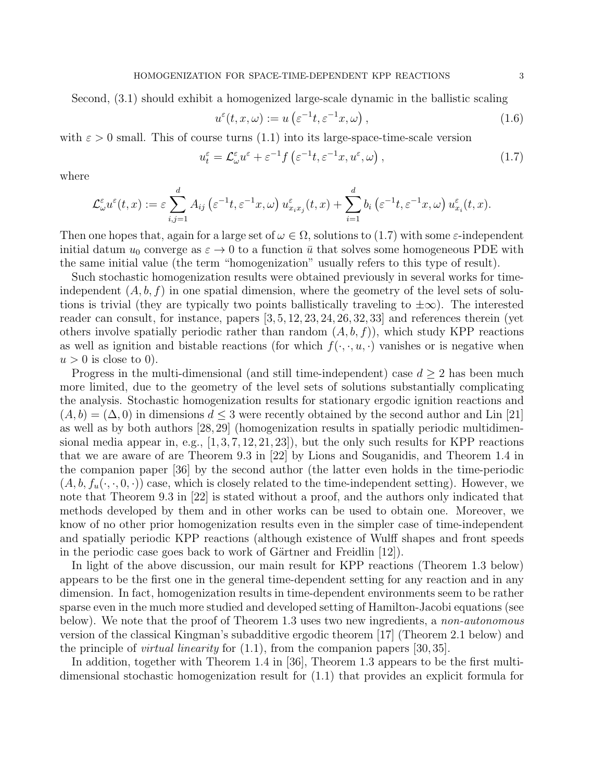Second, (3.1) should exhibit a homogenized large-scale dynamic in the ballistic scaling

$$
u^{\varepsilon}(t, x, \omega) := u\left(\varepsilon^{-1}t, \varepsilon^{-1}x, \omega\right),\tag{1.6}
$$

with  $\varepsilon > 0$  small. This of course turns  $(1.1)$  into its large-space-time-scale version

$$
u_t^{\varepsilon} = \mathcal{L}_{\omega}^{\varepsilon} u^{\varepsilon} + \varepsilon^{-1} f\left(\varepsilon^{-1} t, \varepsilon^{-1} x, u^{\varepsilon}, \omega\right),\tag{1.7}
$$

where

$$
\mathcal{L}_{\omega}^{\varepsilon}u^{\varepsilon}(t,x):=\varepsilon\sum_{i,j=1}^{d}A_{ij}\left(\varepsilon^{-1}t,\varepsilon^{-1}x,\omega\right)u^{\varepsilon}_{x_ix_j}(t,x)+\sum_{i=1}^{d}b_i\left(\varepsilon^{-1}t,\varepsilon^{-1}x,\omega\right)u^{\varepsilon}_{x_i}(t,x).
$$

Then one hopes that, again for a large set of  $\omega \in \Omega$ , solutions to (1.7) with some  $\varepsilon$ -independent initial datum  $u_0$  converge as  $\varepsilon \to 0$  to a function  $\bar{u}$  that solves some homogeneous PDE with the same initial value (the term "homogenization" usually refers to this type of result).

Such stochastic homogenization results were obtained previously in several works for timeindependent  $(A, b, f)$  in one spatial dimension, where the geometry of the level sets of solutions is trivial (they are typically two points ballistically traveling to  $\pm \infty$ ). The interested reader can consult, for instance, papers  $[3, 5, 12, 23, 24, 26, 32, 33]$  and references therein (yet others involve spatially periodic rather than random  $(A, b, f)$ , which study KPP reactions as well as ignition and bistable reactions (for which  $f(\cdot, \cdot, u, \cdot)$  vanishes or is negative when  $u > 0$  is close to 0).

Progress in the multi-dimensional (and still time-independent) case  $d \geq 2$  has been much more limited, due to the geometry of the level sets of solutions substantially complicating the analysis. Stochastic homogenization results for stationary ergodic ignition reactions and  $(A, b) = (\Delta, 0)$  in dimensions  $d \leq 3$  were recently obtained by the second author and Lin [21] as well as by both authors [28, 29] (homogenization results in spatially periodic multidimensional media appear in, e.g.,  $[1, 3, 7, 12, 21, 23]$ , but the only such results for KPP reactions that we are aware of are Theorem 9.3 in [22] by Lions and Souganidis, and Theorem 1.4 in the companion paper [36] by the second author (the latter even holds in the time-periodic  $(A, b, f_u(\cdot, \cdot, 0, \cdot))$  case, which is closely related to the time-independent setting). However, we note that Theorem 9.3 in [22] is stated without a proof, and the authors only indicated that methods developed by them and in other works can be used to obtain one. Moreover, we know of no other prior homogenization results even in the simpler case of time-independent and spatially periodic KPP reactions (although existence of Wulff shapes and front speeds in the periodic case goes back to work of Gärtner and Freidlin  $[12]$ .

In light of the above discussion, our main result for KPP reactions (Theorem 1.3 below) appears to be the first one in the general time-dependent setting for any reaction and in any dimension. In fact, homogenization results in time-dependent environments seem to be rather sparse even in the much more studied and developed setting of Hamilton-Jacobi equations (see below). We note that the proof of Theorem 1.3 uses two new ingredients, a *non-autonomous* version of the classical Kingman's subadditive ergodic theorem [17] (Theorem 2.1 below) and the principle of *virtual linearity* for  $(1.1)$ , from the companion papers [30, 35].

In addition, together with Theorem 1.4 in [36], Theorem 1.3 appears to be the first multidimensional stochastic homogenization result for (1.1) that provides an explicit formula for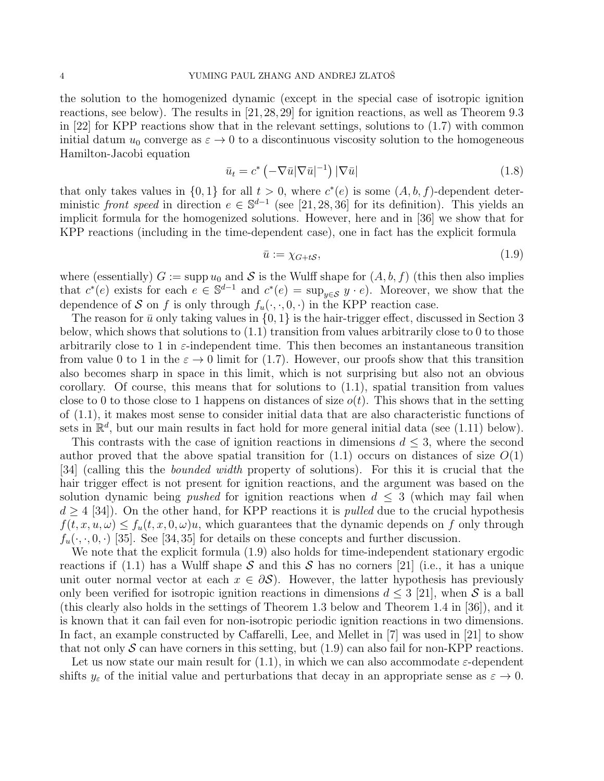the solution to the homogenized dynamic (except in the special case of isotropic ignition reactions, see below). The results in [21,28,29] for ignition reactions, as well as Theorem 9.3 in [22] for KPP reactions show that in the relevant settings, solutions to (1.7) with common initial datum  $u_0$  converge as  $\varepsilon \to 0$  to a discontinuous viscosity solution to the homogeneous Hamilton-Jacobi equation

$$
\bar{u}_t = c^* \left( -\nabla \bar{u} |\nabla \bar{u}|^{-1} \right) |\nabla \bar{u}| \tag{1.8}
$$

that only takes values in  $\{0,1\}$  for all  $t > 0$ , where  $c^*(e)$  is some  $(A, b, f)$ -dependent deterministic front speed in direction  $e \in \mathbb{S}^{d-1}$  (see [21, 28, 36] for its definition). This yields an implicit formula for the homogenized solutions. However, here and in [36] we show that for KPP reactions (including in the time-dependent case), one in fact has the explicit formula

$$
\bar{u} := \chi_{G+tS},\tag{1.9}
$$

where (essentially)  $G := \text{supp } u_0$  and S is the Wulff shape for  $(A, b, f)$  (this then also implies that  $c^*(e)$  exists for each  $e \in \mathbb{S}^{d-1}$  and  $c^*(e) = \sup_{y \in \mathcal{S}} y \cdot e$ . Moreover, we show that the dependence of S on f is only through  $f_u(\cdot, \cdot, 0, \cdot)$  in the KPP reaction case.

The reason for  $\bar{u}$  only taking values in  $\{0,1\}$  is the hair-trigger effect, discussed in Section 3 below, which shows that solutions to  $(1.1)$  transition from values arbitrarily close to 0 to those arbitrarily close to 1 in  $\varepsilon$ -independent time. This then becomes an instantaneous transition from value 0 to 1 in the  $\varepsilon \to 0$  limit for (1.7). However, our proofs show that this transition also becomes sharp in space in this limit, which is not surprising but also not an obvious corollary. Of course, this means that for solutions to (1.1), spatial transition from values close to 0 to those close to 1 happens on distances of size  $o(t)$ . This shows that in the setting of (1.1), it makes most sense to consider initial data that are also characteristic functions of sets in  $\mathbb{R}^d$ , but our main results in fact hold for more general initial data (see (1.11) below).

This contrasts with the case of ignition reactions in dimensions  $d \leq 3$ , where the second author proved that the above spatial transition for  $(1.1)$  occurs on distances of size  $O(1)$ [34] (calling this the bounded width property of solutions). For this it is crucial that the hair trigger effect is not present for ignition reactions, and the argument was based on the solution dynamic being *pushed* for ignition reactions when  $d \leq 3$  (which may fail when  $d \geq 4$  [34]). On the other hand, for KPP reactions it is *pulled* due to the crucial hypothesis  $f(t, x, u, \omega) \leq f_u(t, x, 0, \omega)u$ , which guarantees that the dynamic depends on f only through  $f_u(\cdot,\cdot,0,\cdot)$  [35]. See [34,35] for details on these concepts and further discussion.

We note that the explicit formula (1.9) also holds for time-independent stationary ergodic reactions if (1.1) has a Wulff shape S and this S has no corners [21] (i.e., it has a unique unit outer normal vector at each  $x \in \partial S$ ). However, the latter hypothesis has previously only been verified for isotropic ignition reactions in dimensions  $d \leq 3$  [21], when S is a ball (this clearly also holds in the settings of Theorem 1.3 below and Theorem 1.4 in [36]), and it is known that it can fail even for non-isotropic periodic ignition reactions in two dimensions. In fact, an example constructed by Caffarelli, Lee, and Mellet in [7] was used in [21] to show that not only  $S$  can have corners in this setting, but (1.9) can also fail for non-KPP reactions.

Let us now state our main result for  $(1.1)$ , in which we can also accommodate  $\varepsilon$ -dependent shifts  $y_{\varepsilon}$  of the initial value and perturbations that decay in an appropriate sense as  $\varepsilon \to 0$ .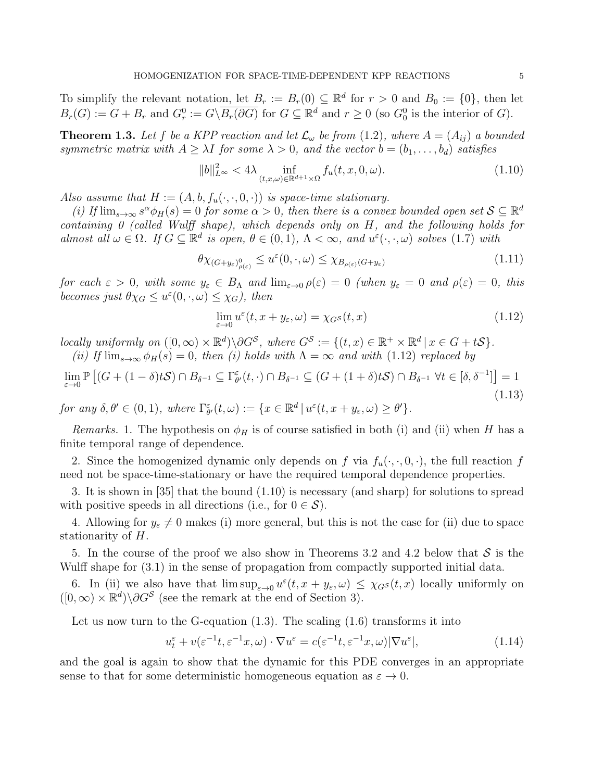To simplify the relevant notation, let  $B_r := B_r(0) \subseteq \mathbb{R}^d$  for  $r > 0$  and  $B_0 := \{0\}$ , then let  $B_r(G) := G + B_r$  and  $G_r^0 := G \setminus \overline{B_r(\partial G)}$  for  $G \subseteq \mathbb{R}^d$  and  $r \geq 0$  (so  $G_0^0$  is the interior of  $G$ ).

**Theorem 1.3.** Let f be a KPP reaction and let  $\mathcal{L}_{\omega}$  be from (1.2), where  $A = (A_{ij})$  a bounded symmetric matrix with  $A \geq \lambda I$  for some  $\lambda > 0$ , and the vector  $b = (b_1, \ldots, b_d)$  satisfies

$$
||b||_{L^{\infty}}^2 < 4\lambda \inf_{(t,x,\omega)\in\mathbb{R}^{d+1}\times\Omega} f_u(t,x,0,\omega).
$$
 (1.10)

Also assume that  $H := (A, b, f_u(\cdot, \cdot, 0, \cdot))$  is space-time stationary.

(i) If  $\lim_{s\to\infty} s^{\alpha} \phi_H(s) = 0$  for some  $\alpha > 0$ , then there is a convex bounded open set  $S \subseteq \mathbb{R}^d$ containing 0 (called Wulff shape), which depends only on H, and the following holds for almost all  $\omega \in \Omega$ . If  $G \subseteq \mathbb{R}^d$  is open,  $\theta \in (0,1)$ ,  $\Lambda < \infty$ , and  $u^{\varepsilon}(\cdot,\cdot,\omega)$  solves (1.7) with

$$
\theta \chi_{(G+y_{\varepsilon})_{\rho(\varepsilon)}} \le u^{\varepsilon}(0,\cdot,\omega) \le \chi_{B_{\rho(\varepsilon)}(G+y_{\varepsilon})}
$$
\n(1.11)

for each  $\varepsilon > 0$ , with some  $y_{\varepsilon} \in B_{\Lambda}$  and  $\lim_{\varepsilon \to 0} \rho(\varepsilon) = 0$  (when  $y_{\varepsilon} = 0$  and  $\rho(\varepsilon) = 0$ , this becomes just  $\theta \chi_G \leq u^{\varepsilon}(0, \cdot, \omega) \leq \chi_G$ , then

$$
\lim_{\varepsilon \to 0} u^{\varepsilon}(t, x + y_{\varepsilon}, \omega) = \chi_{G} s(t, x) \tag{1.12}
$$

locally uniformly on  $([0,\infty) \times \mathbb{R}^d) \backslash \partial G^{\mathcal{S}}$ , where  $G^{\mathcal{S}} := \{(t,x) \in \mathbb{R}^+ \times \mathbb{R}^d \mid x \in G + t\mathcal{S}\}.$ (ii) If  $\lim_{s\to\infty}\phi_H(s)=0$ , then (i) holds with  $\Lambda=\infty$  and with (1.12) replaced by

$$
\lim_{\varepsilon \to 0} \mathbb{P}\left[ (G + (1 - \delta)tS) \cap B_{\delta^{-1}} \subseteq \Gamma_{\theta'}^{\varepsilon}(t, \cdot) \cap B_{\delta^{-1}} \subseteq (G + (1 + \delta)tS) \cap B_{\delta^{-1}} \ \forall t \in [\delta, \delta^{-1}] \right] = 1
$$
\n(1.13)

for any  $\delta, \theta' \in (0, 1)$ , where  $\Gamma_{\theta'}^{\varepsilon}(t, \omega) := \{x \in \mathbb{R}^d \mid u^{\varepsilon}(t, x + y_{\varepsilon}, \omega) \ge \theta'\}.$ 

Remarks. 1. The hypothesis on  $\phi_H$  is of course satisfied in both (i) and (ii) when H has a finite temporal range of dependence.

2. Since the homogenized dynamic only depends on f via  $f_u(\cdot, \cdot, 0, \cdot)$ , the full reaction f need not be space-time-stationary or have the required temporal dependence properties.

3. It is shown in [35] that the bound (1.10) is necessary (and sharp) for solutions to spread with positive speeds in all directions (i.e., for  $0 \in \mathcal{S}$ ).

4. Allowing for  $y_{\varepsilon} \neq 0$  makes (i) more general, but this is not the case for (ii) due to space stationarity of H.

5. In the course of the proof we also show in Theorems 3.2 and 4.2 below that  $S$  is the Wulff shape for (3.1) in the sense of propagation from compactly supported initial data.

6. In (ii) we also have that  $\limsup_{\varepsilon\to 0}u^{\varepsilon}(t,x+y_{\varepsilon},\omega)\leq \chi_{G} s(t,x)$  locally uniformly on  $([0,\infty)\times\mathbb{R}^d)\backslash \partial G^{\mathcal{S}}$  (see the remark at the end of Section 3).

Let us now turn to the G-equation  $(1.3)$ . The scaling  $(1.6)$  transforms it into

$$
u_t^{\varepsilon} + v(\varepsilon^{-1}t, \varepsilon^{-1}x, \omega) \cdot \nabla u^{\varepsilon} = c(\varepsilon^{-1}t, \varepsilon^{-1}x, \omega) |\nabla u^{\varepsilon}|,
$$
\n(1.14)

and the goal is again to show that the dynamic for this PDE converges in an appropriate sense to that for some deterministic homogeneous equation as  $\varepsilon \to 0$ .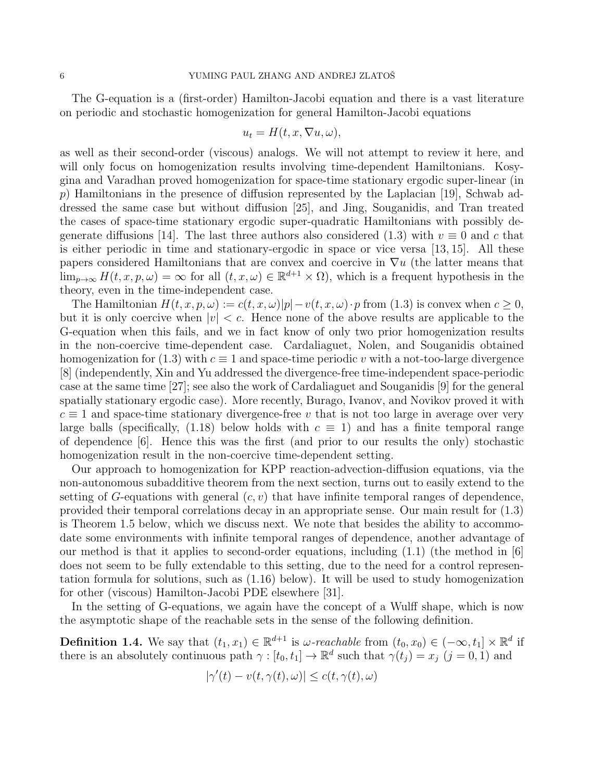The G-equation is a (first-order) Hamilton-Jacobi equation and there is a vast literature on periodic and stochastic homogenization for general Hamilton-Jacobi equations

$$
u_t = H(t, x, \nabla u, \omega),
$$

as well as their second-order (viscous) analogs. We will not attempt to review it here, and will only focus on homogenization results involving time-dependent Hamiltonians. Kosygina and Varadhan proved homogenization for space-time stationary ergodic super-linear (in  $p$ ) Hamiltonians in the presence of diffusion represented by the Laplacian [19], Schwab addressed the same case but without diffusion [25], and Jing, Souganidis, and Tran treated the cases of space-time stationary ergodic super-quadratic Hamiltonians with possibly degenerate diffusions [14]. The last three authors also considered (1.3) with  $v \equiv 0$  and c that is either periodic in time and stationary-ergodic in space or vice versa [13, 15]. All these papers considered Hamiltonians that are convex and coercive in  $\nabla u$  (the latter means that  $\lim_{p\to\infty} H(t, x, p, \omega) = \infty$  for all  $(t, x, \omega) \in \mathbb{R}^{d+1} \times \Omega$ , which is a frequent hypothesis in the theory, even in the time-independent case.

The Hamiltonian  $H(t, x, p, \omega) := c(t, x, \omega)|p| - v(t, x, \omega) \cdot p$  from (1.3) is convex when  $c \geq 0$ , but it is only coercive when  $|v| < c$ . Hence none of the above results are applicable to the G-equation when this fails, and we in fact know of only two prior homogenization results in the non-coercive time-dependent case. Cardaliaguet, Nolen, and Souganidis obtained homogenization for (1.3) with  $c \equiv 1$  and space-time periodic v with a not-too-large divergence [8] (independently, Xin and Yu addressed the divergence-free time-independent space-periodic case at the same time [27]; see also the work of Cardaliaguet and Souganidis [9] for the general spatially stationary ergodic case). More recently, Burago, Ivanov, and Novikov proved it with  $c \equiv 1$  and space-time stationary divergence-free v that is not too large in average over very large balls (specifically, (1.18) below holds with  $c \equiv 1$ ) and has a finite temporal range of dependence [6]. Hence this was the first (and prior to our results the only) stochastic homogenization result in the non-coercive time-dependent setting.

Our approach to homogenization for KPP reaction-advection-diffusion equations, via the non-autonomous subadditive theorem from the next section, turns out to easily extend to the setting of G-equations with general  $(c, v)$  that have infinite temporal ranges of dependence, provided their temporal correlations decay in an appropriate sense. Our main result for (1.3) is Theorem 1.5 below, which we discuss next. We note that besides the ability to accommodate some environments with infinite temporal ranges of dependence, another advantage of our method is that it applies to second-order equations, including (1.1) (the method in [6] does not seem to be fully extendable to this setting, due to the need for a control representation formula for solutions, such as (1.16) below). It will be used to study homogenization for other (viscous) Hamilton-Jacobi PDE elsewhere [31].

In the setting of G-equations, we again have the concept of a Wulff shape, which is now the asymptotic shape of the reachable sets in the sense of the following definition.

**Definition 1.4.** We say that  $(t_1, x_1) \in \mathbb{R}^{d+1}$  is  $\omega$ -reachable from  $(t_0, x_0) \in (-\infty, t_1] \times \mathbb{R}^d$  if there is an absolutely continuous path  $\gamma : [t_0, t_1] \to \mathbb{R}^d$  such that  $\gamma(t_j) = x_j$   $(j = 0, 1)$  and

$$
|\gamma'(t) - v(t, \gamma(t), \omega)| \le c(t, \gamma(t), \omega)
$$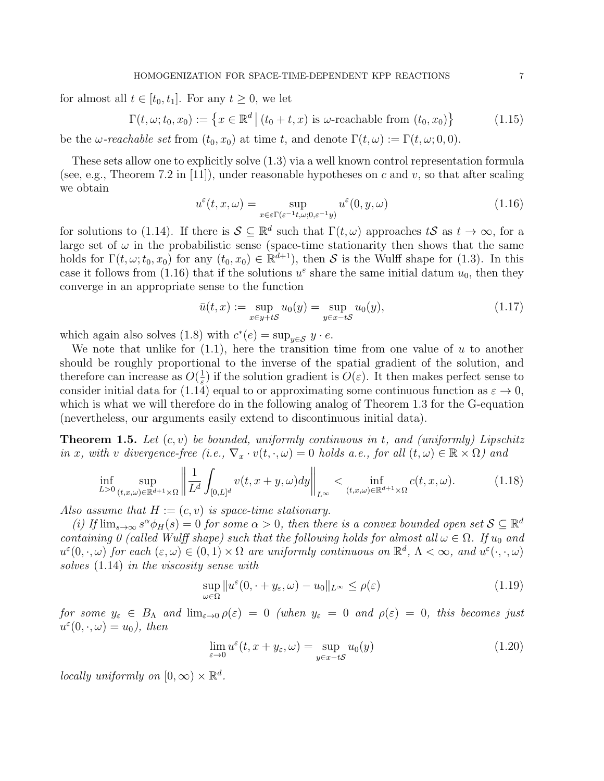for almost all  $t \in [t_0, t_1]$ . For any  $t \geq 0$ , we let

$$
\Gamma(t, \omega; t_0, x_0) := \left\{ x \in \mathbb{R}^d \, \middle| \, (t_0 + t, x) \text{ is } \omega \text{-reachable from } (t_0, x_0) \right\} \tag{1.15}
$$

be the  $\omega$ -reachable set from  $(t_0, x_0)$  at time t, and denote  $\Gamma(t, \omega) := \Gamma(t, \omega; 0, 0)$ .

These sets allow one to explicitly solve (1.3) via a well known control representation formula (see, e.g., Theorem 7.2 in [11]), under reasonable hypotheses on c and v, so that after scaling we obtain

$$
u^{\varepsilon}(t, x, \omega) = \sup_{x \in \varepsilon \Gamma(\varepsilon^{-1}t, \omega; 0, \varepsilon^{-1}y)} u^{\varepsilon}(0, y, \omega)
$$
(1.16)

for solutions to (1.14). If there is  $S \subseteq \mathbb{R}^d$  such that  $\Gamma(t,\omega)$  approaches tS as  $t \to \infty$ , for a large set of  $\omega$  in the probabilistic sense (space-time stationarity then shows that the same holds for  $\Gamma(t,\omega; t_0, x_0)$  for any  $(t_0, x_0) \in \mathbb{R}^{d+1}$ , then S is the Wulff shape for (1.3). In this case it follows from (1.16) that if the solutions  $u^{\varepsilon}$  share the same initial datum  $u_0$ , then they converge in an appropriate sense to the function

$$
\bar{u}(t,x) := \sup_{x \in y + tS} u_0(y) = \sup_{y \in x - tS} u_0(y), \tag{1.17}
$$

which again also solves (1.8) with  $c^*(e) = \sup_{y \in \mathcal{S}} y \cdot e$ .

We note that unlike for  $(1.1)$ , here the transition time from one value of u to another should be roughly proportional to the inverse of the spatial gradient of the solution, and therefore can increase as  $O(\frac{1}{\epsilon})$  $\frac{1}{\varepsilon}$  if the solution gradient is  $O(\varepsilon)$ . It then makes perfect sense to consider initial data for (1.14) equal to or approximating some continuous function as  $\varepsilon \to 0$ , which is what we will therefore do in the following analog of Theorem 1.3 for the G-equation (nevertheless, our arguments easily extend to discontinuous initial data).

**Theorem 1.5.** Let  $(c, v)$  be bounded, uniformly continuous in t, and (uniformly) Lipschitz in x, with v divergence-free (i.e.,  $\nabla_x \cdot v(t, \cdot, \omega) = 0$  holds a.e., for all  $(t, \omega) \in \mathbb{R} \times \Omega$ ) and

$$
\inf_{L>0} \sup_{(t,x,\omega)\in\mathbb{R}^{d+1}\times\Omega} \left\| \frac{1}{L^d} \int_{[0,L]^d} v(t,x+y,\omega) dy \right\|_{L^\infty} < \inf_{(t,x,\omega)\in\mathbb{R}^{d+1}\times\Omega} c(t,x,\omega). \tag{1.18}
$$

Also assume that  $H := (c, v)$  is space-time stationary.

(i) If  $\lim_{s\to\infty} s^{\alpha} \phi_H(s) = 0$  for some  $\alpha > 0$ , then there is a convex bounded open set  $S \subseteq \mathbb{R}^d$ containing 0 (called Wulff shape) such that the following holds for almost all  $\omega \in \Omega$ . If  $u_0$  and  $u^{\varepsilon}(0, \cdot, \omega)$  for each  $(\varepsilon, \omega) \in (0, 1) \times \Omega$  are uniformly continuous on  $\mathbb{R}^d$ ,  $\Lambda < \infty$ , and  $u^{\varepsilon}(\cdot, \cdot, \omega)$ solves (1.14) in the viscosity sense with

$$
\sup_{\omega \in \Omega} \|u^{\varepsilon}(0, \cdot + y_{\varepsilon}, \omega) - u_0\|_{L^{\infty}} \le \rho(\varepsilon)
$$
\n(1.19)

for some  $y_{\varepsilon} \in B_{\Lambda}$  and  $\lim_{\varepsilon \to 0} \rho(\varepsilon) = 0$  (when  $y_{\varepsilon} = 0$  and  $\rho(\varepsilon) = 0$ , this becomes just  $u^{\varepsilon}(0, \cdot, \omega) = u_0$ , then

$$
\lim_{\varepsilon \to 0} u^{\varepsilon}(t, x + y_{\varepsilon}, \omega) = \sup_{y \in x - tS} u_0(y)
$$
\n(1.20)

locally uniformly on  $[0, \infty) \times \mathbb{R}^d$ .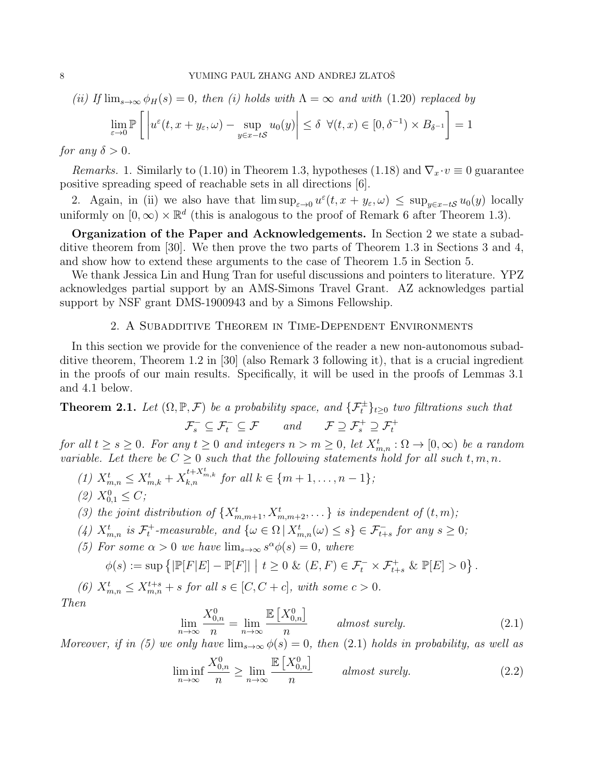(ii) If 
$$
\lim_{s\to\infty} \phi_H(s) = 0
$$
, then (i) holds with  $\Lambda = \infty$  and with (1.20) replaced by  

$$
\lim_{\varepsilon \to 0} \mathbb{P}\left[\left|u^{\varepsilon}(t, x + y_{\varepsilon}, \omega) - \sup_{y \in x - tS} u_0(y)\right| \leq \delta \ \forall (t, x) \in [0, \delta^{-1}) \times B_{\delta^{-1}}\right] = 1
$$

for any  $\delta > 0$ .

*Remarks.* 1. Similarly to (1.10) in Theorem 1.3, hypotheses (1.18) and  $\nabla_x \cdot v \equiv 0$  guarantee positive spreading speed of reachable sets in all directions [6].

2. Again, in (ii) we also have that  $\limsup_{\varepsilon\to 0} u^{\varepsilon}(t, x+y_{\varepsilon}, \omega) \leq \sup_{y\in x-tS} u_0(y)$  locally uniformly on  $[0, \infty) \times \mathbb{R}^d$  (this is analogous to the proof of Remark 6 after Theorem 1.3).

Organization of the Paper and Acknowledgements. In Section 2 we state a subadditive theorem from [30]. We then prove the two parts of Theorem 1.3 in Sections 3 and 4, and show how to extend these arguments to the case of Theorem 1.5 in Section 5.

We thank Jessica Lin and Hung Tran for useful discussions and pointers to literature. YPZ acknowledges partial support by an AMS-Simons Travel Grant. AZ acknowledges partial support by NSF grant DMS-1900943 and by a Simons Fellowship.

# 2. A Subadditive Theorem in Time-Dependent Environments

In this section we provide for the convenience of the reader a new non-autonomous subadditive theorem, Theorem 1.2 in [30] (also Remark 3 following it), that is a crucial ingredient in the proofs of our main results. Specifically, it will be used in the proofs of Lemmas 3.1 and 4.1 below.

**Theorem 2.1.** Let  $(\Omega, \mathbb{P}, \mathcal{F})$  be a probability space, and  $\{\mathcal{F}_t^{\pm}\}_{t\geq 0}$  two filtrations such that  $\mathcal{F}_s^- \subseteq \mathcal{F}_t^- \subseteq \mathcal{F}$  and  $\mathcal{F} \supseteq \mathcal{F}_s^+ \supseteq \mathcal{F}_t^+$ 

for all  $t \geq s \geq 0$ . For any  $t \geq 0$  and integers  $n > m \geq 0$ , let  $X_{m,n}^t : \Omega \to [0,\infty)$  be a random variable. Let there be  $C \geq 0$  such that the following statements hold for all such  $t, m, n$ .

(1) 
$$
X_{m,n}^t \le X_{m,k}^t + X_{k,n}^{t+X_{m,k}^t}
$$
 for all  $k \in \{m+1,\ldots,n-1\}$ ;  
(2)  $X_{0,1}^0 \le C$ ;

- (3) the joint distribution of  $\{X_{m,m+1}^t, X_{m,m+2}^t, \ldots\}$  is independent of  $(t, m)$ ;
- (4)  $X_{m,n}^t$  is  $\mathcal{F}_t^+$ -measurable, and  $\{\omega \in \Omega \mid X_{m,n}^t(\omega) \leq s\} \in \mathcal{F}_{t+s}^-$  for any  $s \geq 0$ ;
- (5) For some  $\alpha > 0$  we have  $\lim_{s \to \infty} s^{\alpha} \phi(s) = 0$ , where

$$
\phi(s) := \sup \left\{ |\mathbb{P}[F|E] - \mathbb{P}[F]| \middle| t \ge 0 \& (E, F) \in \mathcal{F}_t^- \times \mathcal{F}_{t+s}^+ \& \mathbb{P}[E] > 0 \right\}.
$$

(6)  $X_{m,n}^t \leq X_{m,n}^{t+s} + s$  for all  $s \in [C, C + c]$ , with some  $c > 0$ . Then

$$
\lim_{n \to \infty} \frac{X_{0,n}^0}{n} = \lim_{n \to \infty} \frac{\mathbb{E}\left[X_{0,n}^0\right]}{n} \quad \text{almost surely.} \tag{2.1}
$$

Moreover, if in (5) we only have  $\lim_{s\to\infty}\phi(s)=0$ , then (2.1) holds in probability, as well as

$$
\liminf_{n \to \infty} \frac{X_{0,n}^0}{n} \ge \lim_{n \to \infty} \frac{\mathbb{E}\left[X_{0,n}^0\right]}{n} \quad \text{almost surely.} \tag{2.2}
$$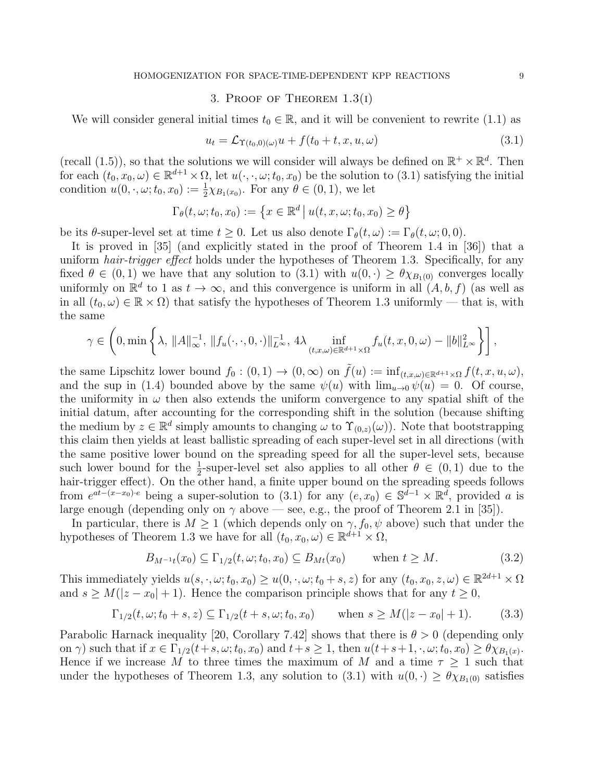#### 3. PROOF OF THEOREM  $1.3(1)$

We will consider general initial times  $t_0 \in \mathbb{R}$ , and it will be convenient to rewrite (1.1) as

$$
u_t = \mathcal{L}_{\Upsilon(t_0,0)(\omega)}u + f(t_0 + t, x, u, \omega)
$$
\n(3.1)

(recall (1.5)), so that the solutions we will consider will always be defined on  $\mathbb{R}^+ \times \mathbb{R}^d$ . Then for each  $(t_0, x_0, \omega) \in \mathbb{R}^{d+1} \times \Omega$ , let  $u(\cdot, \cdot, \omega; t_0, x_0)$  be the solution to  $(3.1)$  satisfying the initial condition  $u(0, \cdot, \omega; t_0, x_0) := \frac{1}{2}\chi_{B_1(x_0)}$ . For any  $\theta \in (0, 1)$ , we let

$$
\Gamma_{\theta}(t,\omega;t_0,x_0):=\left\{x\in\mathbb{R}^d\,\big|\,u(t,x,\omega;t_0,x_0)\geq\theta\right\}
$$

be its θ-super-level set at time  $t \geq 0$ . Let us also denote  $\Gamma_{\theta}(t,\omega) := \Gamma_{\theta}(t,\omega;0,0)$ .

It is proved in [35] (and explicitly stated in the proof of Theorem 1.4 in [36]) that a uniform *hair-trigger effect* holds under the hypotheses of Theorem 1.3. Specifically, for any fixed  $\theta \in (0,1)$  we have that any solution to  $(3.1)$  with  $u(0, \cdot) \geq \theta \chi_{B_1(0)}$  converges locally uniformly on  $\mathbb{R}^d$  to 1 as  $t \to \infty$ , and this convergence is uniform in all  $(A, b, f)$  (as well as in all  $(t_0, \omega) \in \mathbb{R} \times \Omega$ ) that satisfy the hypotheses of Theorem 1.3 uniformly — that is, with the same

$$
\gamma \in \left(0, \min\left\{\lambda, \|A\|_{\infty}^{-1}, \|f_u(\cdot,\cdot,0,\cdot)\|_{L^{\infty}}^{-1}, 4\lambda \inf_{(t,x,\omega)\in \mathbb{R}^{d+1}\times\Omega} f_u(t,x,0,\omega)-\|b\|_{L^{\infty}}^2\right\}\right],
$$

the same Lipschitz lower bound  $f_0 : (0,1) \to (0,\infty)$  on  $\tilde{f}(u) := \inf_{(t,x,\omega) \in \mathbb{R}^{d+1} \times \Omega} f(t,x,u,\omega)$ , and the sup in (1.4) bounded above by the same  $\psi(u)$  with  $\lim_{u\to 0} \psi(u) = 0$ . Of course, the uniformity in  $\omega$  then also extends the uniform convergence to any spatial shift of the initial datum, after accounting for the corresponding shift in the solution (because shifting the medium by  $z \in \mathbb{R}^d$  simply amounts to changing  $\omega$  to  $\Upsilon_{(0,z)}(\omega)$ ). Note that bootstrapping this claim then yields at least ballistic spreading of each super-level set in all directions (with the same positive lower bound on the spreading speed for all the super-level sets, because such lower bound for the  $\frac{1}{2}$ -super-level set also applies to all other  $\theta \in (0,1)$  due to the hair-trigger effect). On the other hand, a finite upper bound on the spreading speeds follows from  $e^{at-(x-x_0)\cdot e}$  being a super-solution to (3.1) for any  $(e, x_0) \in \mathbb{S}^{\bar{d}-1} \times \mathbb{R}^{\bar{d}}$ , provided a is large enough (depending only on  $\gamma$  above — see, e.g., the proof of Theorem 2.1 in [35]).

In particular, there is  $M \geq 1$  (which depends only on  $\gamma$ ,  $f_0$ ,  $\psi$  above) such that under the hypotheses of Theorem 1.3 we have for all  $(t_0, x_0, \omega) \in \mathbb{R}^{d+1} \times \Omega$ ,

$$
B_{M^{-1}t}(x_0) \subseteq \Gamma_{1/2}(t,\omega;t_0,x_0) \subseteq B_{Mt}(x_0) \quad \text{when } t \ge M. \tag{3.2}
$$

This immediately yields  $u(s, \cdot, \omega; t_0, x_0) \ge u(0, \cdot, \omega; t_0 + s, z)$  for any  $(t_0, x_0, z, \omega) \in \mathbb{R}^{2d+1} \times \Omega$ and  $s \geq M(|z - x_0| + 1)$ . Hence the comparison principle shows that for any  $t \geq 0$ ,

$$
\Gamma_{1/2}(t,\omega;t_0+s,z) \subseteq \Gamma_{1/2}(t+s,\omega;t_0,x_0) \quad \text{when } s \ge M(|z-x_0|+1). \tag{3.3}
$$

Parabolic Harnack inequality [20, Corollary 7.42] shows that there is  $\theta > 0$  (depending only on  $\gamma$ ) such that if  $x \in \Gamma_{1/2}(t+s, \omega; t_0, x_0)$  and  $t+s \geq 1$ , then  $u(t+s+1, \cdot, \omega; t_0, x_0) \geq \theta \chi_{B_1(x)}$ . Hence if we increase M to three times the maximum of M and a time  $\tau > 1$  such that under the hypotheses of Theorem 1.3, any solution to (3.1) with  $u(0, \cdot) \geq \theta \chi_{B_1(0)}$  satisfies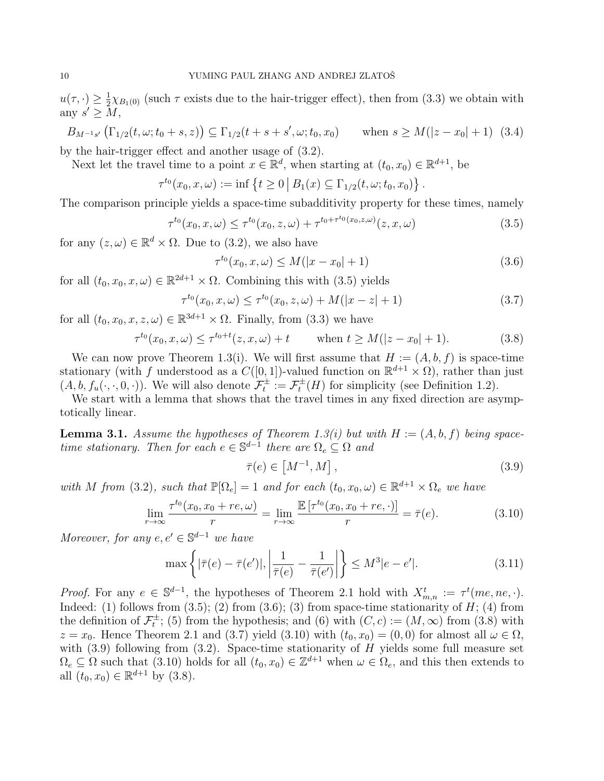$u(\tau, \cdot) \geq \frac{1}{2}$  $\frac{1}{2}\chi_{B_1(0)}$  (such  $\tau$  exists due to the hair-trigger effect), then from (3.3) we obtain with any  $s' \geq M$ ,

 $B_{M^{-1}s'}(\Gamma_{1/2}(t,\omega;t_0+s,z)) \subseteq \Gamma_{1/2}(t+s+s',\omega;t_0,x_0)$  when  $s \geq M(|z-x_0|+1)$  (3.4) by the hair-trigger effect and another usage of (3.2).

Next let the travel time to a point  $x \in \mathbb{R}^d$ , when starting at  $(t_0, x_0) \in \mathbb{R}^{d+1}$ , be

$$
\tau^{t_0}(x_0, x, \omega) := \inf \left\{ t \geq 0 \, \big| \, B_1(x) \subseteq \Gamma_{1/2}(t, \omega; t_0, x_0) \right\}.
$$

The comparison principle yields a space-time subadditivity property for these times, namely

$$
\tau^{t_0}(x_0, x, \omega) \le \tau^{t_0}(x_0, z, \omega) + \tau^{t_0 + \tau^{t_0}(x_0, z, \omega)}(z, x, \omega) \tag{3.5}
$$

for any  $(z, \omega) \in \mathbb{R}^d \times \Omega$ . Due to  $(3.2)$ , we also have

$$
\tau^{t_0}(x_0, x, \omega) \le M(|x - x_0| + 1)
$$
\n(3.6)

for all  $(t_0, x_0, x, \omega) \in \mathbb{R}^{2d+1} \times \Omega$ . Combining this with  $(3.5)$  yields

$$
\tau^{t_0}(x_0, x, \omega) \le \tau^{t_0}(x_0, z, \omega) + M(|x - z| + 1)
$$
\n(3.7)

for all  $(t_0, x_0, x, z, \omega) \in \mathbb{R}^{3d+1} \times \Omega$ . Finally, from (3.3) we have

$$
\tau^{t_0}(x_0, x, \omega) \le \tau^{t_0 + t}(z, x, \omega) + t \quad \text{when } t \ge M(|z - x_0| + 1). \tag{3.8}
$$

We can now prove Theorem 1.3(i). We will first assume that  $H := (A, b, f)$  is space-time stationary (with f understood as a  $C([0,1])$ -valued function on  $\mathbb{R}^{d+1} \times \Omega$ ), rather than just  $(A, b, f_u(\cdot, \cdot, 0, \cdot))$ . We will also denote  $\mathcal{F}_t^{\pm} := \mathcal{F}_t^{\pm}(H)$  for simplicity (see Definition 1.2).

We start with a lemma that shows that the travel times in any fixed direction are asymptotically linear.

**Lemma 3.1.** Assume the hypotheses of Theorem 1.3(i) but with  $H := (A, b, f)$  being spacetime stationary. Then for each  $e \in \mathbb{S}^{d-1}$  there are  $\Omega_e \subseteq \Omega$  and

$$
\bar{\tau}(e) \in \left[M^{-1}, M\right],\tag{3.9}
$$

with M from (3.2), such that  $\mathbb{P}[\Omega_e] = 1$  and for each  $(t_0, x_0, \omega) \in \mathbb{R}^{d+1} \times \Omega_e$  we have

$$
\lim_{r \to \infty} \frac{\tau^{t_0}(x_0, x_0 + re, \omega)}{r} = \lim_{r \to \infty} \frac{\mathbb{E}[\tau^{t_0}(x_0, x_0 + re, \cdot)]}{r} = \bar{\tau}(e).
$$
\n(3.10)

Moreover, for any  $e, e' \in \mathbb{S}^{d-1}$  we have

$$
\max\left\{|\bar{\tau}(e) - \bar{\tau}(e')|, \left|\frac{1}{\bar{\tau}(e)} - \frac{1}{\bar{\tau}(e')}\right|\right\} \le M^3|e - e'|.
$$
\n(3.11)

*Proof.* For any  $e \in \mathbb{S}^{d-1}$ , the hypotheses of Theorem 2.1 hold with  $X_{m,n}^t := \tau^t$ (me, ne, .). Indeed: (1) follows from  $(3.5)$ ; (2) from  $(3.6)$ ; (3) from space-time stationarity of H; (4) from the definition of  $\mathcal{F}_t^{\pm}$ ; (5) from the hypothesis; and (6) with  $(C, c) := (M, \infty)$  from  $(3.8)$  with  $z = x_0$ . Hence Theorem 2.1 and (3.7) yield (3.10) with  $(t_0, x_0) = (0, 0)$  for almost all  $\omega \in \Omega$ , with  $(3.9)$  following from  $(3.2)$ . Space-time stationarity of H yields some full measure set  $\Omega_e \subseteq \Omega$  such that (3.10) holds for all  $(t_0, x_0) \in \mathbb{Z}^{d+1}$  when  $\omega \in \Omega_e$ , and this then extends to all  $(t_0, x_0) \in \mathbb{R}^{d+1}$  by  $(3.8)$ .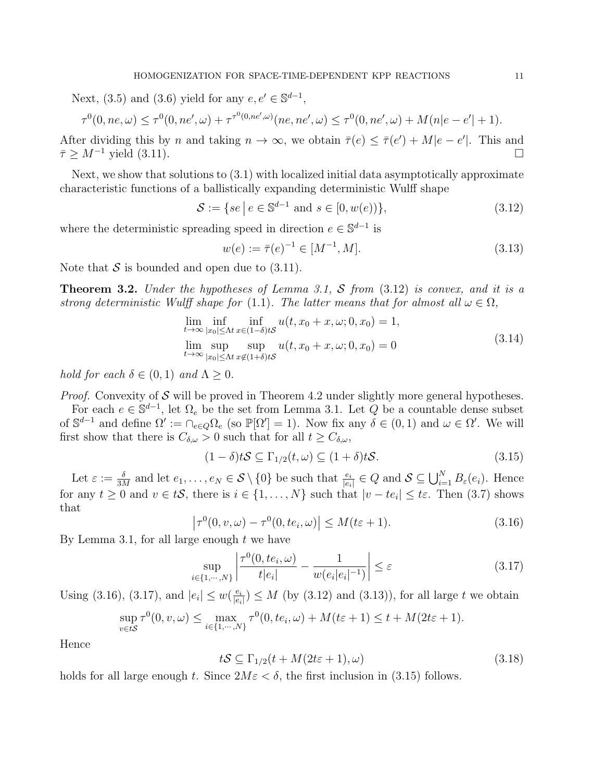Next, (3.5) and (3.6) yield for any  $e, e' \in \mathbb{S}^{d-1}$ ,

$$
\tau^0(0, ne, \omega) \le \tau^0(0, ne', \omega) + \tau^{\tau^0(0, ne', \omega)}(ne, ne', \omega) \le \tau^0(0, ne', \omega) + M(n|e - e'| + 1).
$$

After dividing this by n and taking  $n \to \infty$ , we obtain  $\overline{\tau}(e) \leq \overline{\tau}(e') + M|e - e'|$ . This and  $\bar{\tau} \geq M^{-1}$  yield (3.11).

Next, we show that solutions to (3.1) with localized initial data asymptotically approximate characteristic functions of a ballistically expanding deterministic Wulff shape

$$
S := \{ se \mid e \in \mathbb{S}^{d-1} \text{ and } s \in [0, w(e)] \},\tag{3.12}
$$

where the deterministic spreading speed in direction  $e \in \mathbb{S}^{d-1}$  is

$$
w(e) := \bar{\tau}(e)^{-1} \in [M^{-1}, M]. \tag{3.13}
$$

Note that  $S$  is bounded and open due to  $(3.11)$ .

**Theorem 3.2.** Under the hypotheses of Lemma 3.1, S from  $(3.12)$  is convex, and it is a strong deterministic Wulff shape for (1.1). The latter means that for almost all  $\omega \in \Omega$ ,

$$
\lim_{t \to \infty} \inf_{|x_0| \le \Lambda t} \inf_{x \in (1-\delta)tS} u(t, x_0 + x, \omega; 0, x_0) = 1,
$$
\n
$$
\lim_{t \to \infty} \sup_{|x_0| \le \Lambda t} \sup_{x \notin (1+\delta)tS} u(t, x_0 + x, \omega; 0, x_0) = 0
$$
\n(3.14)

hold for each  $\delta \in (0,1)$  and  $\Lambda \geq 0$ .

*Proof.* Convexity of  $S$  will be proved in Theorem 4.2 under slightly more general hypotheses.

For each  $e \in \mathbb{S}^{d-1}$ , let  $\Omega_e$  be the set from Lemma 3.1. Let  $\tilde{Q}$  be a countable dense subset of  $\mathbb{S}^{d-1}$  and define  $\Omega' := \bigcap_{e \in Q} \Omega_e$  (so  $\mathbb{P}[\Omega'] = 1$ ). Now fix any  $\delta \in (0,1)$  and  $\omega \in \Omega'$ . We will first show that there is  $C_{\delta,\omega} > 0$  such that for all  $t \ge C_{\delta,\omega}$ ,

$$
(1 - \delta)tS \subseteq \Gamma_{1/2}(t,\omega) \subseteq (1 + \delta)tS. \tag{3.15}
$$

Let  $\varepsilon := \frac{\delta}{3M}$  and let  $e_1, \ldots, e_N \in \mathcal{S} \setminus \{0\}$  be such that  $\frac{e_i}{|e_i|} \in Q$  and  $\mathcal{S} \subseteq \bigcup_{i=1}^N B_{\varepsilon}(e_i)$ . Hence for any  $t \geq 0$  and  $v \in tS$ , there is  $i \in \{1, ..., N\}$  such that  $|v - te_i| \leq t\varepsilon$ . Then (3.7) shows that

$$
\left|\tau^{0}(0, v, \omega) - \tau^{0}(0, t e_i, \omega)\right| \le M(t \varepsilon + 1).
$$
\n(3.16)

By Lemma 3.1, for all large enough  $t$  we have

$$
\sup_{i \in \{1, \cdots, N\}} \left| \frac{\tau^0(0, t e_i, \omega)}{t |e_i|} - \frac{1}{w(e_i |e_i|^{-1})} \right| \le \varepsilon \tag{3.17}
$$

Using (3.16), (3.17), and  $|e_i| \leq w(\frac{e_i}{|e_i|})$  $\frac{e_i}{|e_i|}$   $\leq M$  (by (3.12) and (3.13)), for all large t we obtain

$$
\sup_{v \in tS} \tau^0(0, v, \omega) \le \max_{i \in \{1, \cdots, N\}} \tau^0(0, t e_i, \omega) + M(t\varepsilon + 1) \le t + M(2t\varepsilon + 1).
$$

Hence

$$
tS \subseteq \Gamma_{1/2}(t + M(2t\varepsilon + 1), \omega) \tag{3.18}
$$

holds for all large enough t. Since  $2M\varepsilon < \delta$ , the first inclusion in (3.15) follows.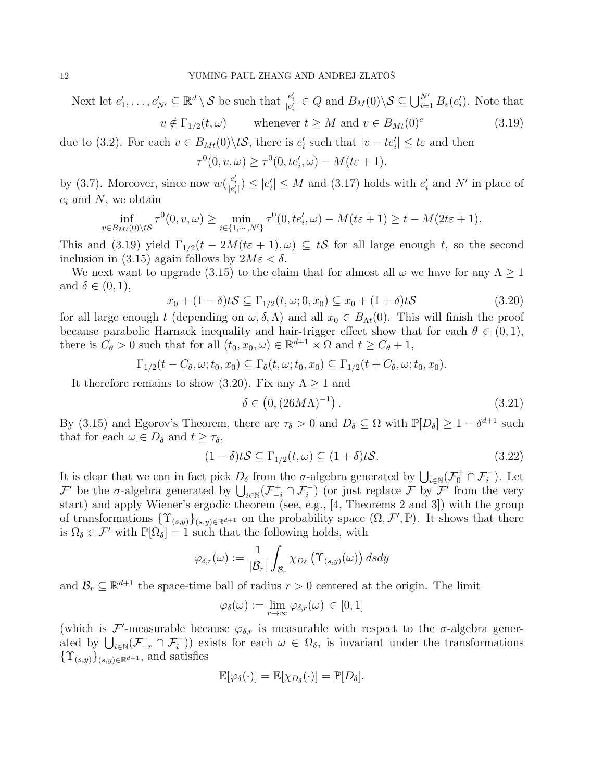Next let  $e'_1, \ldots, e'_{N'} \subseteq \mathbb{R}^d \setminus \mathcal{S}$  be such that  $\frac{e'_i}{|e'_i|} \in Q$  and  $B_M(0) \setminus \mathcal{S} \subseteq \bigcup_{i=1}^{N'} B_{\varepsilon}(e'_i)$ . Note that

$$
v \notin \Gamma_{1/2}(t,\omega) \qquad \text{whenever } t \ge M \text{ and } v \in B_{Mt}(0)^c \tag{3.19}
$$

due to (3.2). For each  $v \in B_{Mt}(0) \backslash t\mathcal{S}$ , there is  $e'_i$  such that  $|v - te'_i| \leq t\varepsilon$  and then

$$
\tau^{0}(0, v, \omega) \geq \tau^{0}(0, te'_{i}, \omega) - M(t\varepsilon + 1).
$$

by (3.7). Moreover, since now  $w(\frac{e'_i}{|e'_i|}) \leq |e'_i| \leq M$  and (3.17) holds with  $e'_i$  and N' in place of  $e_i$  and N, we obtain

$$
\inf_{v \in B_{Mt}(0) \setminus t\mathcal{S}} \tau^0(0, v, \omega) \ge \min_{i \in \{1, \cdots, N'\}} \tau^0(0, t e_i', \omega) - M(t\varepsilon + 1) \ge t - M(2t\varepsilon + 1).
$$

This and (3.19) yield  $\Gamma_{1/2}(t - 2M(t\varepsilon + 1), \omega) \subseteq tS$  for all large enough t, so the second inclusion in (3.15) again follows by  $2M\varepsilon < \delta$ .

We next want to upgrade (3.15) to the claim that for almost all  $\omega$  we have for any  $\Lambda \geq 1$ and  $\delta \in (0,1)$ ,

$$
x_0 + (1 - \delta)tS \subseteq \Gamma_{1/2}(t, \omega; 0, x_0) \subseteq x_0 + (1 + \delta)tS
$$
\n(3.20)

for all large enough t (depending on  $\omega, \delta, \Lambda$ ) and all  $x_0 \in B_{\Lambda t}(0)$ . This will finish the proof because parabolic Harnack inequality and hair-trigger effect show that for each  $\theta \in (0,1)$ , there is  $C_{\theta} > 0$  such that for all  $(t_0, x_0, \omega) \in \mathbb{R}^{d+1} \times \Omega$  and  $t \ge C_{\theta} + 1$ ,

$$
\Gamma_{1/2}(t-C_{\theta},\omega;t_0,x_0)\subseteq \Gamma_{\theta}(t,\omega;t_0,x_0)\subseteq \Gamma_{1/2}(t+C_{\theta},\omega;t_0,x_0).
$$

It therefore remains to show (3.20). Fix any  $\Lambda \geq 1$  and

$$
\delta \in \left(0, (26M\Lambda)^{-1}\right). \tag{3.21}
$$

By (3.15) and Egorov's Theorem, there are  $\tau_{\delta} > 0$  and  $D_{\delta} \subseteq \Omega$  with  $\mathbb{P}[D_{\delta}] \geq 1 - \delta^{d+1}$  such that for each  $\omega \in D_{\delta}$  and  $t \geq \tau_{\delta}$ ,

$$
(1 - \delta)tS \subseteq \Gamma_{1/2}(t,\omega) \subseteq (1 + \delta)tS. \tag{3.22}
$$

It is clear that we can in fact pick  $D_{\delta}$  from the  $\sigma$ -algebra generated by  $\bigcup_{i\in\mathbb{N}}(\mathcal{F}_{0}^{+}\cap\mathcal{F}_{i}^{-})$ . Let  $\mathcal{F}'$  be the  $\sigma$ -algebra generated by  $\bigcup_{i\in\mathbb{N}}(\mathcal{F}^+_{-i}\cap\mathcal{F}^-_i)$  (or just replace  $\mathcal{F}$  by  $\mathcal{F}'$  from the very start) and apply Wiener's ergodic theorem (see, e.g., [4, Theorems 2 and 3]) with the group of transformations  $\{\Upsilon_{(s,y)}\}_{(s,y)\in\mathbb{R}^{d+1}}$  on the probability space  $(\Omega, \mathcal{F}', \mathbb{P})$ . It shows that there is  $\Omega_{\delta} \in \mathcal{F}'$  with  $\mathbb{P}[\Omega_{\delta}] = 1$  such that the following holds, with

$$
\varphi_{\delta,r}(\omega) := \frac{1}{|\mathcal{B}_r|} \int_{\mathcal{B}_r} \chi_{D_\delta} \left( \Upsilon_{(s,y)}(\omega) \right) ds dy
$$

and  $\mathcal{B}_r \subseteq \mathbb{R}^{d+1}$  the space-time ball of radius  $r > 0$  centered at the origin. The limit

$$
\varphi_{\delta}(\omega) := \lim_{r \to \infty} \varphi_{\delta,r}(\omega) \in [0,1]
$$

(which is  $\mathcal{F}'$ -measurable because  $\varphi_{\delta,r}$  is measurable with respect to the  $\sigma$ -algebra generated by  $\bigcup_{i\in\mathbb{N}}(\mathcal{F}^+_{-r}\cap\mathcal{F}^-_i)\big)$  exists for each  $\omega\in\Omega_\delta$ , is invariant under the transformations  ${\{\Upsilon_{(s,y)}\}}_{(s,y)\in\mathbb{R}^{d+1}},$  and satisfies

$$
\mathbb{E}[\varphi_{\delta}(\cdot)] = \mathbb{E}[\chi_{D_{\delta}}(\cdot)] = \mathbb{P}[D_{\delta}].
$$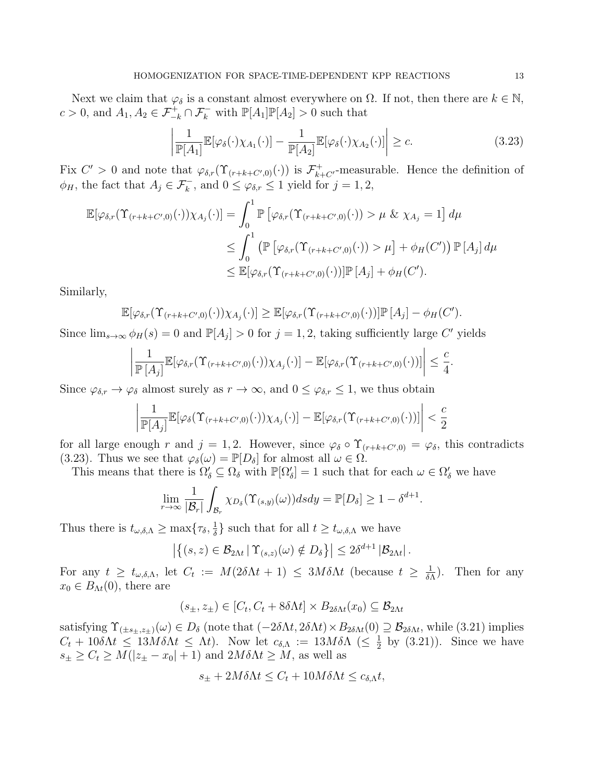Next we claim that  $\varphi_{\delta}$  is a constant almost everywhere on  $\Omega$ . If not, then there are  $k \in \mathbb{N}$ ,  $c > 0$ , and  $A_1, A_2 \in \mathcal{F}_{-k}^+ \cap \mathcal{F}_k^-$  with  $\mathbb{P}[A_1]\mathbb{P}[A_2] > 0$  such that

$$
\left| \frac{1}{\mathbb{P}[A_1]} \mathbb{E}[\varphi_\delta(\cdot) \chi_{A_1}(\cdot)] - \frac{1}{\mathbb{P}[A_2]} \mathbb{E}[\varphi_\delta(\cdot) \chi_{A_2}(\cdot)] \right| \ge c.
$$
\n(3.23)

Fix  $C' > 0$  and note that  $\varphi_{\delta,r}(\Upsilon_{(r+k+C',0)}(\cdot))$  is  $\mathcal{F}_{k+C'}^+$ -measurable. Hence the definition of  $\phi_H$ , the fact that  $A_j \in \mathcal{F}_k^-$ , and  $0 \leq \varphi_{\delta,r} \leq 1$  yield for  $j = 1, 2$ ,

$$
\mathbb{E}[\varphi_{\delta,r}(\Upsilon_{(r+k+C',0)}(\cdot))\chi_{A_j}(\cdot)] = \int_0^1 \mathbb{P}\left[\varphi_{\delta,r}(\Upsilon_{(r+k+C',0)}(\cdot)) > \mu \& \chi_{A_j} = 1\right]d\mu
$$
  
\n
$$
\leq \int_0^1 \left(\mathbb{P}\left[\varphi_{\delta,r}(\Upsilon_{(r+k+C',0)}(\cdot)) > \mu\right] + \phi_H(C')\right) \mathbb{P}\left[A_j\right]d\mu
$$
  
\n
$$
\leq \mathbb{E}[\varphi_{\delta,r}(\Upsilon_{(r+k+C',0)}(\cdot))] \mathbb{P}\left[A_j\right] + \phi_H(C').
$$

Similarly,

$$
\mathbb{E}[\varphi_{\delta,r}(\Upsilon_{(r+k+C',0)}(\cdot))\chi_{A_j}(\cdot)] \geq \mathbb{E}[\varphi_{\delta,r}(\Upsilon_{(r+k+C',0)}(\cdot))] \mathbb{P}[A_j] - \phi_H(C').
$$

Since  $\lim_{s\to\infty} \phi_H(s) = 0$  and  $\mathbb{P}[A_j] > 0$  for  $j = 1, 2$ , taking sufficiently large C' yields

$$
\left|\frac{1}{\mathbb{P}\left[A_j\right]}\mathbb{E}[\varphi_{\delta,r}(\Upsilon_{(r+k+C',0)}(\cdot))\chi_{A_j}(\cdot)] - \mathbb{E}[\varphi_{\delta,r}(\Upsilon_{(r+k+C',0)}(\cdot))] \right| \leq \frac{c}{4}.
$$

Since  $\varphi_{\delta,r} \to \varphi_{\delta}$  almost surely as  $r \to \infty$ , and  $0 \leq \varphi_{\delta,r} \leq 1$ , we thus obtain

$$
\left|\frac{1}{\mathbb{P}[A_j]}\mathbb{E}[\varphi_{\delta}(\Upsilon_{(r+k+C',0)}(\cdot))\chi_{A_j}(\cdot)] - \mathbb{E}[\varphi_{\delta,r}(\Upsilon_{(r+k+C',0)}(\cdot))] \right| < \frac{c}{2}
$$

for all large enough r and  $j = 1, 2$ . However, since  $\varphi_{\delta} \circ \Upsilon_{(r+k+C',0)} = \varphi_{\delta}$ , this contradicts (3.23). Thus we see that  $\varphi_{\delta}(\omega) = \mathbb{P}[D_{\delta}]$  for almost all  $\omega \in \Omega$ .

This means that there is  $\Omega'_\delta \subseteq \Omega_\delta$  with  $\mathbb{P}[\Omega'_\delta] = 1$  such that for each  $\omega \in \Omega'_\delta$  we have

$$
\lim_{r\to\infty}\frac{1}{|\mathcal{B}_r|}\int_{\mathcal{B}_r}\chi_{D_\delta}(\Upsilon_{(s,y)}(\omega))dsdy=\mathbb{P}[D_\delta]\geq 1-\delta^{d+1}.
$$

Thus there is  $t_{\omega,\delta,\Lambda} \geq \max\{\tau_\delta,\frac{1}{\delta}\}$  $\frac{1}{\delta}$  such that for all  $t \geq t_{\omega,\delta,\Lambda}$  we have

$$
\left|\left\{(s,z)\in\mathcal{B}_{2\Lambda t} \,|\, \Upsilon_{(s,z)}(\omega)\notin D_\delta\right\}\right|\leq 2\delta^{d+1}\left|\mathcal{B}_{2\Lambda t}\right|.
$$

For any  $t \geq t_{\omega,\delta,\Lambda}$ , let  $C_t := M(2\delta \Lambda t + 1) \leq 3M\delta \Lambda t$  (because  $t \geq \frac{1}{\delta \Lambda}$  $\frac{1}{\delta \Lambda}$ ). Then for any  $x_0 \in B_{\Lambda t}(0)$ , there are

$$
(s_{\pm}, z_{\pm}) \in [C_t, C_t + 8\delta \Lambda t] \times B_{2\delta \Lambda t}(x_0) \subseteq \mathcal{B}_{2\Lambda t}
$$

satisfying  $\Upsilon_{(\pm s_{\pm},z_{\pm})}(\omega) \in D_{\delta}$  (note that  $(-2\delta \Lambda t, 2\delta \Lambda t) \times B_{2\delta \Lambda t}(0) \supseteq \mathcal{B}_{2\delta \Lambda t}$ , while (3.21) implies  $C_t + 10\delta\Lambda t \leq 13M\delta\Lambda t \leq \Lambda t$ . Now let  $c_{\delta,\Lambda} := 13M\delta\Lambda \leq \frac{1}{2}$  $\frac{1}{2}$  by (3.21)). Since we have  $s_{\pm} \geq C_t \geq M(|z_{\pm} - x_0| + 1)$  and  $2M\delta\Lambda t \geq M$ , as well as

$$
s_{\pm} + 2M\delta\Lambda t \le C_t + 10M\delta\Lambda t \le c_{\delta,\Lambda}t,
$$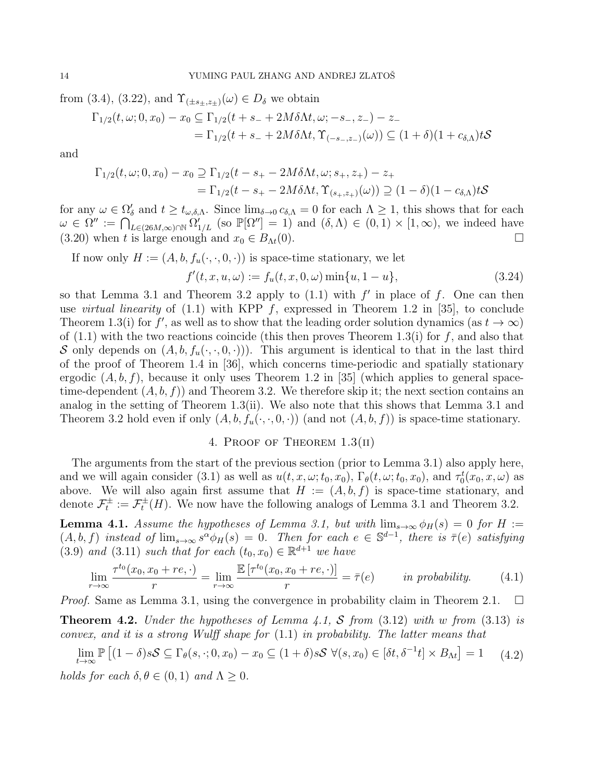from (3.4), (3.22), and  $\Upsilon_{(\pm s_{\pm},z_{\pm})}(\omega) \in D_{\delta}$  we obtain

$$
\Gamma_{1/2}(t,\omega;0,x_0) - x_0 \subseteq \Gamma_{1/2}(t + s_- + 2M\delta\Lambda t, \omega; -s_-, z_-) - z_-
$$
  
=  $\Gamma_{1/2}(t + s_- + 2M\delta\Lambda t, \Upsilon_{(-s_-,z_-)}(\omega)) \subseteq (1+\delta)(1+c_{\delta,\Lambda})tS$ 

and

$$
\Gamma_{1/2}(t,\omega;0,x_0) - x_0 \supseteq \Gamma_{1/2}(t - s_+ - 2M\delta\Lambda t, \omega; s_+, z_+) - z_+
$$
  
=  $\Gamma_{1/2}(t - s_+ - 2M\delta\Lambda t, \Upsilon_{(s_+,z_+)}(\omega)) \supseteq (1 - \delta)(1 - c_{\delta,\Lambda})tS$ 

for any  $\omega \in \Omega'_\delta$  and  $t \geq t_{\omega,\delta,\Lambda}$ . Since  $\lim_{\delta \to 0} c_{\delta,\Lambda} = 0$  for each  $\Lambda \geq 1$ , this shows that for each  $\omega \in \Omega'' := \bigcap_{L\in(26M,\infty)\cap\mathbb{N}}^{\infty} \Omega'_{1/L}$  (so  $\mathbb{P}[\Omega''] = 1$ ) and  $(\delta,\Lambda) \in (0,1) \times [1,\infty)$ , we indeed have (3.20) when t is large enough and  $x_0 \in B_{\Lambda t}(0)$ .

If now only  $H := (A, b, f_u(\cdot, \cdot, 0, \cdot))$  is space-time stationary, we let

$$
f'(t, x, u, \omega) := f_u(t, x, 0, \omega) \min\{u, 1 - u\},\tag{3.24}
$$

so that Lemma 3.1 and Theorem 3.2 apply to  $(1.1)$  with  $f'$  in place of f. One can then use *virtual linearity* of  $(1.1)$  with KPP f, expressed in Theorem 1.2 in [35], to conclude Theorem 1.3(i) for f', as well as to show that the leading order solution dynamics (as  $t \to \infty$ ) of  $(1.1)$  with the two reactions coincide (this then proves Theorem 1.3(i) for f, and also that S only depends on  $(A, b, f_u(\cdot, \cdot, 0, \cdot))$ . This argument is identical to that in the last third of the proof of Theorem 1.4 in [36], which concerns time-periodic and spatially stationary ergodic  $(A, b, f)$ , because it only uses Theorem 1.2 in [35] (which applies to general spacetime-dependent  $(A, b, f)$  and Theorem 3.2. We therefore skip it; the next section contains an analog in the setting of Theorem 1.3(ii). We also note that this shows that Lemma 3.1 and Theorem 3.2 hold even if only  $(A, b, f_u(\cdot, \cdot, 0, \cdot))$  (and not  $(A, b, f)$ ) is space-time stationary.

# 4. Proof of Theorem 1.3(ii)

The arguments from the start of the previous section (prior to Lemma 3.1) also apply here, and we will again consider (3.1) as well as  $u(t, x, \omega; t_0, x_0)$ ,  $\Gamma_{\theta}(t, \omega; t_0, x_0)$ , and  $\tau_0^t(x_0, x, \omega)$  as above. We will also again first assume that  $H := (A, b, f)$  is space-time stationary, and denote  $\mathcal{F}_t^{\pm} := \mathcal{F}_t^{\pm}(H)$ . We now have the following analogs of Lemma 3.1 and Theorem 3.2.

**Lemma 4.1.** Assume the hypotheses of Lemma 3.1, but with  $\lim_{s\to\infty} \phi_H(s) = 0$  for H :=  $(A, b, f)$  instead of  $\lim_{s\to\infty} s^{\alpha} \phi_H(s) = 0$ . Then for each  $e \in \mathbb{S}^{d-1}$ , there is  $\bar{\tau}(e)$  satisfying (3.9) and (3.11) such that for each  $(t_0, x_0) \in \mathbb{R}^{d+1}$  we have

$$
\lim_{r \to \infty} \frac{\tau^{t_0}(x_0, x_0 + re, \cdot)}{r} = \lim_{r \to \infty} \frac{\mathbb{E}\left[\tau^{t_0}(x_0, x_0 + re, \cdot)\right]}{r} = \bar{\tau}(e) \qquad in \text{ probability.} \tag{4.1}
$$

*Proof.* Same as Lemma 3.1, using the convergence in probability claim in Theorem 2.1.  $\Box$ 

**Theorem 4.2.** Under the hypotheses of Lemma 4.1, S from  $(3.12)$  with w from  $(3.13)$  is convex, and it is a strong Wulff shape for (1.1) in probability. The latter means that

lim t→∞  $\mathbb{P}\left[ (1-\delta)s\mathcal{S} \subseteq \Gamma_{\theta}(s,\cdot;0,x_0) - x_0 \subseteq (1+\delta)s\mathcal{S} \ \forall (s,x_0) \in [\delta t,\delta^{-1}t] \times B_{\Lambda t} \right] = 1$  (4.2) holds for each  $\delta, \theta \in (0, 1)$  and  $\Lambda \geq 0$ .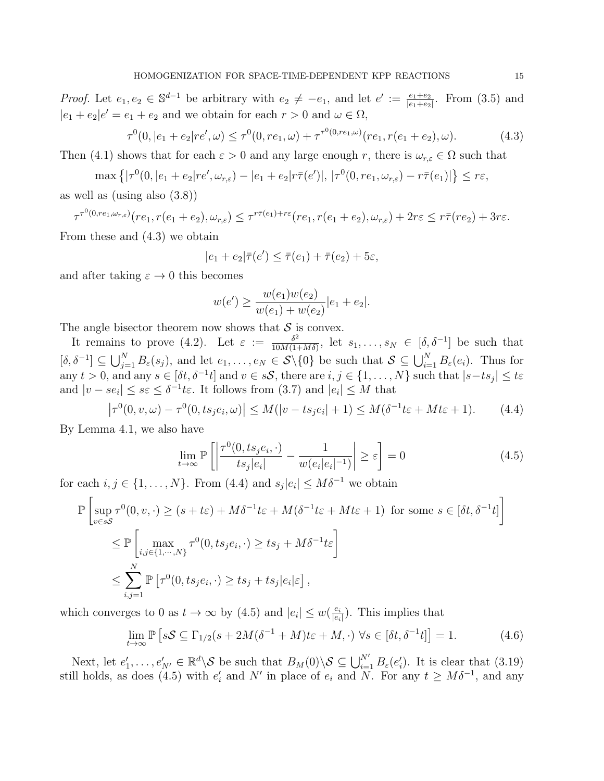*Proof.* Let  $e_1, e_2 \in \mathbb{S}^{d-1}$  be arbitrary with  $e_2 \neq -e_1$ , and let  $e' := \frac{e_1 + e_2}{|e_1 + e_2|}$ . From (3.5) and  $|e_1 + e_2|e' = e_1 + e_2$  and we obtain for each  $r > 0$  and  $\omega \in \Omega$ ,

$$
\tau^{0}(0, |e_1 + e_2|re', \omega) \leq \tau^{0}(0, re_1, \omega) + \tau^{\tau^{0}(0, re_1, \omega)}(re_1, r(e_1 + e_2), \omega).
$$
\n(4.3)

Then (4.1) shows that for each  $\varepsilon > 0$  and any large enough r, there is  $\omega_{r,\varepsilon} \in \Omega$  such that

$$
\max \left\{ |\tau^{0}(0, |e_1 + e_2|re', \omega_{r,\varepsilon}) - |e_1 + e_2|r\bar{\tau}(e')|, |\tau^{0}(0, re_1, \omega_{r,\varepsilon}) - r\bar{\tau}(e_1)| \right\} \leq r\varepsilon,
$$

as well as (using also (3.8))

$$
\tau^{\tau^0(0, re_1, \omega_{r,\varepsilon})}(re_1, r(e_1 + e_2), \omega_{r,\varepsilon}) \leq \tau^{r\bar{\tau}(e_1) + r\varepsilon}(re_1, r(e_1 + e_2), \omega_{r,\varepsilon}) + 2r\varepsilon \leq r\bar{\tau}(re_2) + 3r\varepsilon.
$$

From these and (4.3) we obtain

$$
|e_1 + e_2|\overline{\tau}(e') \le \overline{\tau}(e_1) + \overline{\tau}(e_2) + 5\varepsilon,
$$

and after taking  $\varepsilon \to 0$  this becomes

$$
w(e') \ge \frac{w(e_1)w(e_2)}{w(e_1) + w(e_2)}|e_1 + e_2|.
$$

The angle bisector theorem now shows that  $S$  is convex.

It remains to prove (4.2). Let  $\varepsilon := \frac{\delta^2}{10M(1-\varepsilon)}$  $\frac{\delta^2}{10M(1+M\delta)}$ , let  $s_1,\ldots,s_N \in [\delta,\delta^{-1}]$  be such that  $[\delta, \delta^{-1}] \subseteq \bigcup_{j=1}^N B_{\varepsilon}(s_j)$ , and let  $e_1, \ldots, e_N \in \mathcal{S}\backslash\{0\}$  be such that  $\mathcal{S} \subseteq \bigcup_{i=1}^N B_{\varepsilon}(e_i)$ . Thus for any  $t > 0$ , and any  $s \in [\delta t, \delta^{-1} t]$  and  $v \in sS$ , there are  $i, j \in \{1, ..., N\}$  such that  $|s - ts_j| \leq t\varepsilon$ and  $|v - s e_i| \leq s \varepsilon \leq \delta^{-1} t \varepsilon$ . It follows from (3.7) and  $|e_i| \leq M$  that

$$
\left|\tau^{0}(0,v,\omega)-\tau^{0}(0,ts_{j}e_{i},\omega)\right| \leq M(|v - ts_{j}e_{i}| + 1) \leq M(\delta^{-1}t\varepsilon + Mt\varepsilon + 1). \tag{4.4}
$$

By Lemma 4.1, we also have

$$
\lim_{t \to \infty} \mathbb{P}\left[\left|\frac{\tau^0(0, ts_j e_i, \cdot)}{ts_j |e_i|} - \frac{1}{w(e_i |e_i|^{-1})}\right| \ge \varepsilon\right] = 0\tag{4.5}
$$

for each  $i, j \in \{1, ..., N\}$ . From (4.4) and  $s_j |e_i| \leq M \delta^{-1}$  we obtain

$$
\mathbb{P}\left[\sup_{v\in s\mathcal{S}} \tau^0(0, v, \cdot) \ge (s + t\varepsilon) + M\delta^{-1}t\varepsilon + M(\delta^{-1}t\varepsilon + Mt\varepsilon + 1) \text{ for some } s \in [\delta t, \delta^{-1}t] \right]
$$
  

$$
\le \mathbb{P}\left[\max_{i,j\in\{1,\cdots,N\}} \tau^0(0, ts_j e_i, \cdot) \ge ts_j + M\delta^{-1}t\varepsilon\right]
$$
  

$$
\le \sum_{i,j=1}^N \mathbb{P}\left[\tau^0(0, ts_j e_i, \cdot) \ge ts_j + ts_j |e_i|\varepsilon\right],
$$

which converges to 0 as  $t \to \infty$  by (4.5) and  $|e_i| \leq w(\frac{e_i}{|e_i|})$  $\frac{e_i}{|e_i|}$ ). This implies that

$$
\lim_{t \to \infty} \mathbb{P}\left[s\mathcal{S} \subseteq \Gamma_{1/2}(s + 2M(\delta^{-1} + M)t\varepsilon + M, \cdot) \,\forall s \in [\delta t, \delta^{-1}t]\right] = 1. \tag{4.6}
$$

Next, let  $e'_1, \ldots, e'_{N'} \in \mathbb{R}^d \setminus \mathcal{S}$  be such that  $B_M(0) \setminus \mathcal{S} \subseteq \bigcup_{i=1}^{N'} B_{\varepsilon}(e'_i)$ . It is clear that  $(3.19)$ still holds, as does (4.5) with  $e'_i$  and N' in place of  $e_i$  and N. For any  $t \geq M\delta^{-1}$ , and any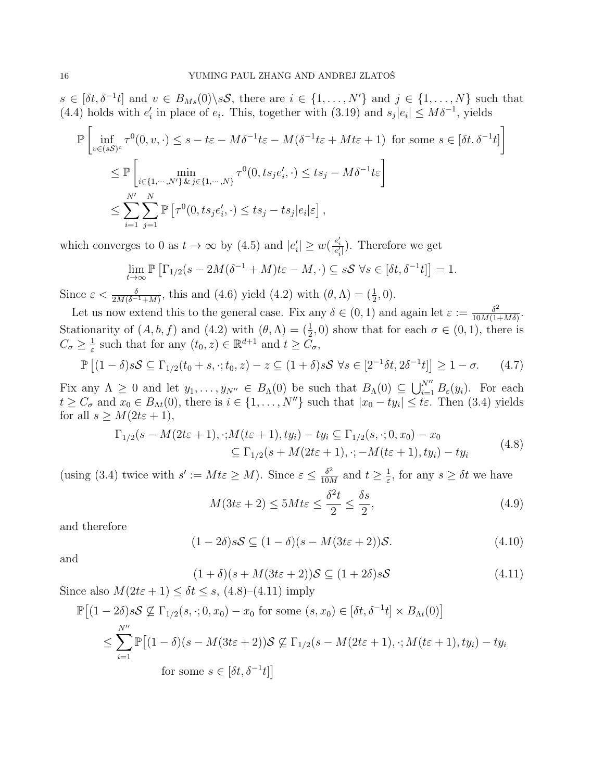$s \in [\delta t, \delta^{-1} t]$  and  $v \in B_{Ms}(0) \setminus sS$ , there are  $i \in \{1, \ldots, N'\}$  and  $j \in \{1, \ldots, N\}$  such that (4.4) holds with  $e'_i$  in place of  $e_i$ . This, together with (3.19) and  $s_j|e_i| \leq M\delta^{-1}$ , yields

$$
\mathbb{P}\left[\inf_{v\in (sS)^c} \tau^0(0, v, \cdot) \le s - t\varepsilon - M\delta^{-1}t\varepsilon - M(\delta^{-1}t\varepsilon + Mt\varepsilon + 1) \text{ for some } s \in [\delta t, \delta^{-1}t] \right]
$$
  
\n
$$
\le \mathbb{P}\left[\min_{i\in\{1,\cdots,N'\}} \tau^0(0, ts_j e_i', \cdot) \le ts_j - M\delta^{-1}t\varepsilon \right]
$$
  
\n
$$
\le \sum_{i=1}^{N'} \sum_{j=1}^N \mathbb{P}\left[\tau^0(0, ts_j e_i', \cdot) \le ts_j - ts_j |e_i|\varepsilon\right],
$$

which converges to 0 as  $t \to \infty$  by (4.5) and  $|e'_i| \geq w(\frac{e'_i}{|e'_i|})$ . Therefore we get

$$
\lim_{t \to \infty} \mathbb{P}\left[\Gamma_{1/2}(s - 2M(\delta^{-1} + M)t\epsilon - M, \cdot) \subseteq s\mathcal{S} \,\forall s \in [\delta t, \delta^{-1}t]\right] = 1.
$$

Since  $\varepsilon < \frac{\delta}{2M(\delta^{-1}+M)}$ , this and (4.6) yield (4.2) with  $(\theta, \Lambda) = (\frac{1}{2}, 0)$ .

Let us now extend this to the general case. Fix any  $\delta \in (0,1)$  and again let  $\varepsilon := \frac{\delta^2}{10M(1-\varepsilon)}$  $\frac{\delta^2}{10M(1+M\delta)}$ Stationarity of  $(A, b, f)$  and  $(4.2)$  with  $(\theta, \Lambda) = (\frac{1}{2}, 0)$  show that for each  $\sigma \in (0, 1)$ , there is  $C_{\sigma}\geq \frac{1}{\varepsilon}$  $\frac{1}{\varepsilon}$  such that for any  $(t_0, z) \in \mathbb{R}^{d+1}$  and  $t \geq \tilde{C}_{\sigma}$ ,

$$
\mathbb{P}\left[(1-\delta)s\mathcal{S}\subseteq\Gamma_{1/2}(t_0+s,\cdot;t_0,z)-z\subseteq(1+\delta)s\mathcal{S}\ \forall s\in[2^{-1}\delta t,2\delta^{-1}t]\right]\geq 1-\sigma.\tag{4.7}
$$

Fix any  $\Lambda \geq 0$  and let  $y_1, \ldots, y_{N''} \in B_\Lambda(0)$  be such that  $B_\Lambda(0) \subseteq \bigcup_{i=1}^{N''} B_\varepsilon(y_i)$ . For each  $t \geq C_{\sigma}$  and  $x_0 \in B_{\Lambda t}(0)$ , there is  $i \in \{1, ..., N''\}$  such that  $|x_0 - ty_i| \leq t \varepsilon$ . Then (3.4) yields for all  $s \geq M(2t\varepsilon + 1)$ ,

$$
\Gamma_{1/2}(s - M(2t\varepsilon + 1), \cdot; M(t\varepsilon + 1), ty_i) - ty_i \subseteq \Gamma_{1/2}(s, \cdot; 0, x_0) - x_0
$$
  
\n
$$
\subseteq \Gamma_{1/2}(s + M(2t\varepsilon + 1), \cdot; -M(t\varepsilon + 1), ty_i) - ty_i
$$
\n(4.8)

(using (3.4) twice with  $s' := Mt\varepsilon \geq M$ ). Since  $\varepsilon \leq \frac{\delta^2}{10M}$  $\frac{\delta^2}{10M}$  and  $t \geq \frac{1}{\varepsilon}$  $\frac{1}{\varepsilon}$ , for any  $s \geq \delta t$  we have

$$
M(3t\varepsilon + 2) \le 5Mt\varepsilon \le \frac{\delta^2 t}{2} \le \frac{\delta s}{2},\tag{4.9}
$$

and therefore

$$
(1 - 2\delta)s\mathcal{S} \subseteq (1 - \delta)(s - M(3t\varepsilon + 2))\mathcal{S}.
$$
\n(4.10)

and

P

$$
(1+\delta)(s+M(3t\varepsilon+2))\mathcal{S} \subseteq (1+2\delta)s\mathcal{S}
$$
\n
$$
(4.11)
$$

Since also  $M(2t\varepsilon + 1) \leq \delta t \leq s$ , (4.8)–(4.11) imply

$$
[(1-2\delta)s\mathcal{S} \not\subseteq \Gamma_{1/2}(s,\cdot;0,x_0) - x_0 \text{ for some } (s,x_0) \in [\delta t, \delta^{-1}t] \times B_{\Lambda t}(0)]
$$
  

$$
\leq \sum_{i=1}^{N''} \mathbb{P}[(1-\delta)(s-M(3t\varepsilon+2))\mathcal{S} \not\subseteq \Gamma_{1/2}(s-M(2t\varepsilon+1),\cdot;M(t\varepsilon+1),ty_i) - ty_i
$$
  
for some  $s \in [\delta t, \delta^{-1}t]$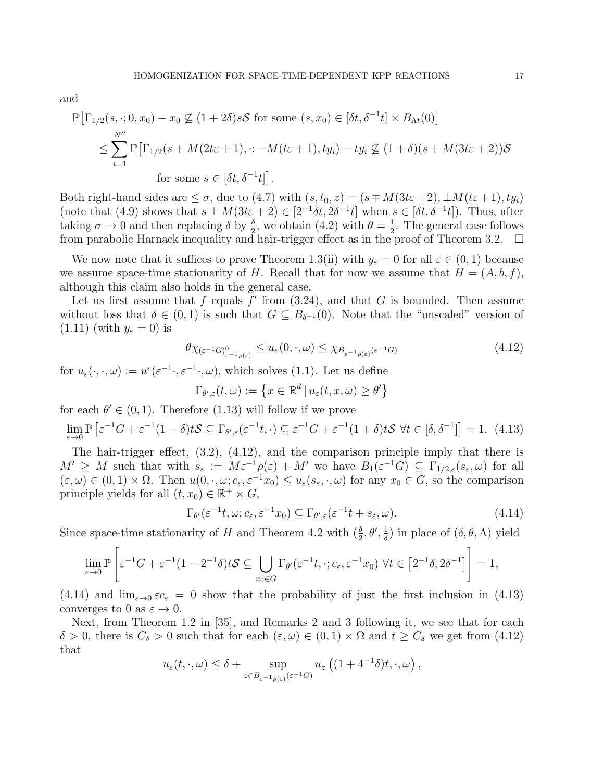and

$$
\mathbb{P}\big[\Gamma_{1/2}(s,\cdot;0,x_0)-x_0 \not\subseteq (1+2\delta)s\mathcal{S} \text{ for some } (s,x_0)\in[\delta t,\delta^{-1}t]\times B_{\Lambda t}(0)\big]
$$
  
\$\leq \sum\_{i=1}^{N''}\mathbb{P}\big[\Gamma\_{1/2}(s+M(2t\varepsilon+1),\cdot;-M(t\varepsilon+1),ty\_i)-ty\_i \not\subseteq (1+\delta)(s+M(3t\varepsilon+2))\mathcal{S}\$  
for some  $s\in[\delta t,\delta^{-1}t]\big].$ 

Both right-hand sides are  $\leq \sigma$ , due to (4.7) with  $(s, t_0, z) = (s \mp M(3t\varepsilon + 2), \pm M(t\varepsilon + 1), ty_i)$ (note that (4.9) shows that  $s \pm M(3t\varepsilon + 2) \in [2^{-1}\delta t, 2\delta^{-1}t]$  when  $s \in [\delta t, \delta^{-1}t]$ ). Thus, after taking  $\sigma \to 0$  and then replacing  $\delta$  by  $\frac{\delta}{2}$ , we obtain (4.2) with  $\theta = \frac{1}{2}$  $\frac{1}{2}$ . The general case follows from parabolic Harnack inequality and hair-trigger effect as in the proof of Theorem 3.2.  $\Box$ 

We now note that it suffices to prove Theorem 1.3(ii) with  $y_{\varepsilon} = 0$  for all  $\varepsilon \in (0,1)$  because we assume space-time stationarity of H. Recall that for now we assume that  $H = (A, b, f)$ , although this claim also holds in the general case.

Let us first assume that f equals  $f'$  from  $(3.24)$ , and that G is bounded. Then assume without loss that  $\delta \in (0,1)$  is such that  $G \subseteq B_{\delta^{-1}}(0)$ . Note that the "unscaled" version of  $(1.11)$  (with  $y_{\varepsilon}=0$ ) is

$$
\theta \chi_{(\varepsilon^{-1}G)_{\varepsilon^{-1}\rho(\varepsilon)}} \le u_{\varepsilon}(0,\cdot,\omega) \le \chi_{B_{\varepsilon^{-1}\rho(\varepsilon)}(\varepsilon^{-1}G)} \tag{4.12}
$$

for  $u_{\varepsilon}(\cdot,\cdot,\omega) := u^{\varepsilon}(\varepsilon^{-1}\cdot,\varepsilon^{-1}\cdot,\omega)$ , which solves (1.1). Let us define

$$
\Gamma_{\theta',\varepsilon}(t,\omega) := \left\{ x \in \mathbb{R}^d \, | \, u_{\varepsilon}(t,x,\omega) \ge \theta' \right\}
$$

for each  $\theta' \in (0, 1)$ . Therefore (1.13) will follow if we prove

$$
\lim_{\varepsilon \to 0} \mathbb{P}\left[\varepsilon^{-1} G + \varepsilon^{-1} (1 - \delta) tS \subseteq \Gamma_{\theta', \varepsilon}(\varepsilon^{-1} t, \cdot) \subseteq \varepsilon^{-1} G + \varepsilon^{-1} (1 + \delta) tS \ \forall t \in [\delta, \delta^{-1}]\right] = 1. \tag{4.13}
$$

The hair-trigger effect, (3.2), (4.12), and the comparison principle imply that there is  $M' \geq M$  such that with  $s_{\varepsilon} := M \varepsilon^{-1} \rho(\varepsilon) + M'$  we have  $B_1(\varepsilon^{-1} G) \subseteq \Gamma_{1/2,\varepsilon}(s_{\varepsilon},\omega)$  for all  $(\varepsilon, \omega) \in (0, 1) \times \Omega$ . Then  $u(0, \cdot, \omega; c_{\varepsilon}, \varepsilon^{-1}x_0) \leq u_{\varepsilon}(s_{\varepsilon}, \cdot, \omega)$  for any  $x_0 \in G$ , so the comparison principle yields for all  $(t, x_0) \in \mathbb{R}^+ \times G$ ,

$$
\Gamma_{\theta'}(\varepsilon^{-1}t, \omega; c_{\varepsilon}, \varepsilon^{-1}x_0) \subseteq \Gamma_{\theta', \varepsilon}(\varepsilon^{-1}t + s_{\varepsilon}, \omega). \tag{4.14}
$$

Since space-time stationarity of H and Theorem 4.2 with  $(\frac{\delta}{2}, \theta', \frac{1}{\delta})$  $\frac{1}{\delta}$ ) in place of  $(\delta, \theta, \Lambda)$  yield

$$
\lim_{\varepsilon \to 0} \mathbb{P}\left[\varepsilon^{-1} G + \varepsilon^{-1} (1 - 2^{-1} \delta) tS \subseteq \bigcup_{x_0 \in G} \Gamma_{\theta'}(\varepsilon^{-1} t, \cdot; c_{\varepsilon}, \varepsilon^{-1} x_0) \ \forall t \in [2^{-1} \delta, 2\delta^{-1}] \right] = 1,
$$

(4.14) and  $\lim_{\varepsilon\to 0} \varepsilon c_{\varepsilon} = 0$  show that the probability of just the first inclusion in (4.13) converges to 0 as  $\varepsilon \to 0$ .

Next, from Theorem 1.2 in [35], and Remarks 2 and 3 following it, we see that for each  $\delta > 0$ , there is  $C_{\delta} > 0$  such that for each  $(\varepsilon, \omega) \in (0, 1) \times \Omega$  and  $t \ge C_{\delta}$  we get from  $(4.12)$ that

$$
u_{\varepsilon}(t,\cdot,\omega) \leq \delta + \sup_{z \in B_{\varepsilon^{-1}\rho(\varepsilon)}(\varepsilon^{-1}G)} u_z\left((1+4^{-1}\delta)t,\cdot,\omega\right),
$$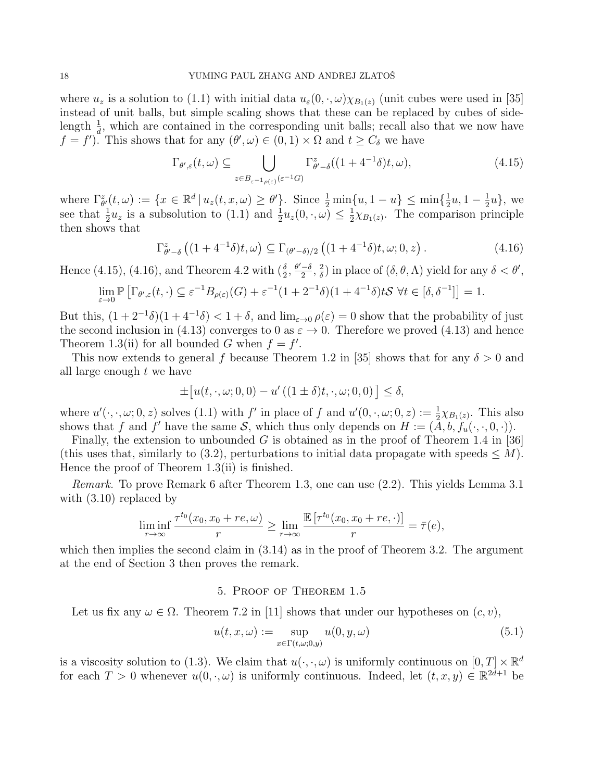where  $u_z$  is a solution to (1.1) with initial data  $u_\varepsilon(0, \cdot, \omega)\chi_{B_1(z)}$  (unit cubes were used in [35] instead of unit balls, but simple scaling shows that these can be replaced by cubes of sidelength  $\frac{1}{d}$ , which are contained in the corresponding unit balls; recall also that we now have  $f = f'$ ). This shows that for any  $(\theta', \omega) \in (0, 1) \times \Omega$  and  $t \ge C_\delta$  we have

$$
\Gamma_{\theta',\varepsilon}(t,\omega) \subseteq \bigcup_{z \in B_{\varepsilon^{-1}\rho(\varepsilon)}(\varepsilon^{-1}G)} \Gamma_{\theta'-\delta}^z((1+4^{-1}\delta)t,\omega),\tag{4.15}
$$

where  $\Gamma_{\theta'}^{z}(t,\omega) := \{x \in \mathbb{R}^d \mid u_z(t,x,\omega) \geq \theta'\}$ . Since  $\frac{1}{2} \min\{u, 1-u\} \leq \min\{\frac{1}{2} \}$  $\frac{1}{2}u, 1-\frac{1}{2}$  $\frac{1}{2}u\},$  we see that  $\frac{1}{2}u_z$  is a subsolution to (1.1) and  $\frac{1}{2}u_z(0, \cdot, \omega) \leq \frac{1}{2}$  $\frac{1}{2}\chi_{B_1(z)}$ . The comparison principle then shows that

$$
\Gamma_{\theta'-\delta}^{z}\left((1+4^{-1}\delta)t,\omega\right) \subseteq \Gamma_{(\theta'-\delta)/2}\left((1+4^{-1}\delta)t,\omega;0,z\right). \tag{4.16}
$$

Hence (4.15), (4.16), and Theorem 4.2 with  $(\frac{\delta}{2}, \frac{\theta'-\delta}{2})$  $\frac{-\delta}{2}, \frac{2}{\delta}$  $\frac{2}{\delta}$ ) in place of  $(\delta, \theta, \Lambda)$  yield for any  $\delta < \theta'$ ,

$$
\lim_{\varepsilon \to 0} \mathbb{P}\left[\Gamma_{\theta',\varepsilon}(t,\cdot) \subseteq \varepsilon^{-1} B_{\rho(\varepsilon)}(G) + \varepsilon^{-1} (1 + 2^{-1}\delta)(1 + 4^{-1}\delta)tS \ \forall t \in [\delta, \delta^{-1}]\right] = 1.
$$

But this,  $(1+2^{-1}\delta)(1+4^{-1}\delta) < 1+\delta$ , and  $\lim_{\varepsilon\to 0} \rho(\varepsilon) = 0$  show that the probability of just the second inclusion in (4.13) converges to 0 as  $\varepsilon \to 0$ . Therefore we proved (4.13) and hence Theorem 1.3(ii) for all bounded G when  $f = f'$ .

This now extends to general f because Theorem 1.2 in [35] shows that for any  $\delta > 0$  and all large enough t we have

$$
\pm [u(t,\cdot,\omega;0,0) - u'((1\pm\delta)t,\cdot,\omega;0,0)] \le \delta,
$$

where  $u'(\cdot, \cdot, \omega; 0, z)$  solves (1.1) with f' in place of f and  $u'(0, \cdot, \omega; 0, z) := \frac{1}{2}\chi_{B_1(z)}$ . This also shows that f and f' have the same S, which thus only depends on  $H := (\tilde{A}, b, f_u(\cdot, \cdot, 0, \cdot)).$ 

Finally, the extension to unbounded G is obtained as in the proof of Theorem 1.4 in [36] (this uses that, similarly to (3.2), perturbations to initial data propagate with speeds  $\leq M$ ). Hence the proof of Theorem 1.3(ii) is finished.

Remark. To prove Remark 6 after Theorem 1.3, one can use (2.2). This yields Lemma 3.1 with  $(3.10)$  replaced by

$$
\liminf_{r \to \infty} \frac{\tau^{t_0}(x_0, x_0 + re, \omega)}{r} \ge \lim_{r \to \infty} \frac{\mathbb{E}[\tau^{t_0}(x_0, x_0 + re, \cdot)]}{r} = \overline{\tau}(e),
$$

which then implies the second claim in  $(3.14)$  as in the proof of Theorem 3.2. The argument at the end of Section 3 then proves the remark.

### 5. Proof of Theorem 1.5

Let us fix any  $\omega \in \Omega$ . Theorem 7.2 in [11] shows that under our hypotheses on  $(c, v)$ ,

$$
u(t, x, \omega) := \sup_{x \in \Gamma(t, \omega; 0, y)} u(0, y, \omega)
$$
\n(5.1)

is a viscosity solution to (1.3). We claim that  $u(\cdot, \cdot, \omega)$  is uniformly continuous on  $[0, T] \times \mathbb{R}^d$ for each  $T > 0$  whenever  $u(0, \cdot, \omega)$  is uniformly continuous. Indeed, let  $(t, x, y) \in \mathbb{R}^{2d+1}$  be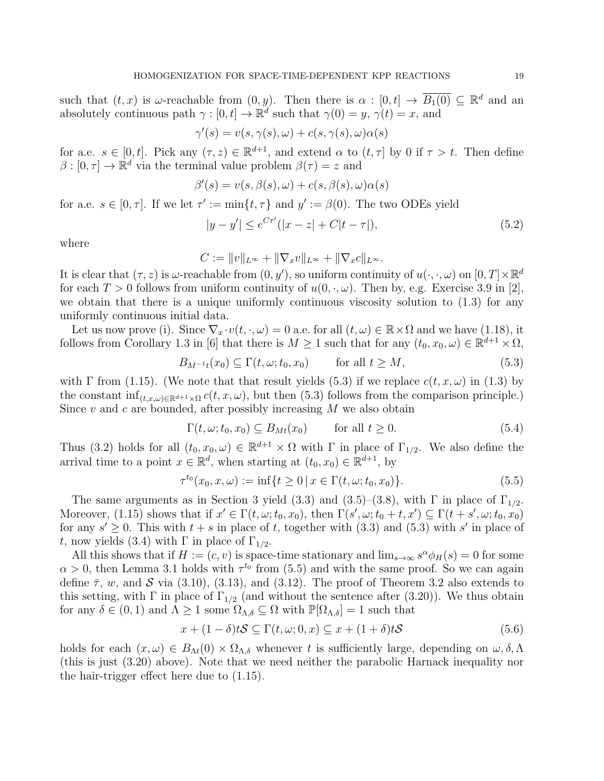such that  $(t, x)$  is  $\omega$ -reachable from  $(0, y)$ . Then there is  $\alpha : [0, t] \to \overline{B_1(0)} \subseteq \mathbb{R}^d$  and an absolutely continuous path  $\gamma : [0, t] \to \mathbb{R}^d$  such that  $\gamma(0) = y$ ,  $\gamma(t) = x$ , and

$$
\gamma'(s) = v(s, \gamma(s), \omega) + c(s, \gamma(s), \omega)\alpha(s)
$$

for a.e.  $s \in [0, t]$ . Pick any  $(\tau, z) \in \mathbb{R}^{d+1}$ , and extend  $\alpha$  to  $(t, \tau]$  by 0 if  $\tau > t$ . Then define  $\beta : [0, \tau] \to \mathbb{R}^d$  via the terminal value problem  $\beta(\tau) = z$  and

$$
\beta'(s) = v(s, \beta(s), \omega) + c(s, \beta(s), \omega)\alpha(s)
$$

for a.e.  $s \in [0, \tau]$ . If we let  $\tau' := \min\{t, \tau\}$  and  $y' := \beta(0)$ . The two ODEs yield

$$
|y - y'| \le e^{C\tau'}(|x - z| + C|t - \tau|),\tag{5.2}
$$

where

$$
C := ||v||_{L^{\infty}} + ||\nabla_x v||_{L^{\infty}} + ||\nabla_x c||_{L^{\infty}}.
$$

It is clear that  $(\tau, z)$  is  $\omega$ -reachable from  $(0, y')$ , so uniform continuity of  $u(\cdot, \cdot, \omega)$  on  $[0, T] \times \mathbb{R}^d$ for each  $T > 0$  follows from uniform continuity of  $u(0, \cdot, \omega)$ . Then by, e.g. Exercise 3.9 in [2], we obtain that there is a unique uniformly continuous viscosity solution to  $(1.3)$  for any uniformly continuous initial data.

Let us now prove (i). Since  $\nabla_x \cdot v(t, \cdot, \omega) = 0$  a.e. for all  $(t, \omega) \in \mathbb{R} \times \Omega$  and we have (1.18), it follows from Corollary 1.3 in [6] that there is  $M \geq 1$  such that for any  $(t_0, x_0, \omega) \in \mathbb{R}^{d+1} \times \Omega$ ,

$$
B_{M^{-1}t}(x_0) \subseteq \Gamma(t, \omega; t_0, x_0) \qquad \text{for all } t \ge M,
$$
\n
$$
(5.3)
$$

with  $\Gamma$  from (1.15). (We note that that result yields (5.3) if we replace  $c(t, x, \omega)$  in (1.3) by the constant  $\inf_{(t,x,\omega)\in\mathbb{R}^{d+1}\times\Omega}c(t,x,\omega)$ , but then (5.3) follows from the comparison principle.) Since  $v$  and  $c$  are bounded, after possibly increasing  $M$  we also obtain

$$
\Gamma(t, \omega; t_0, x_0) \subseteq B_{Mt}(x_0) \qquad \text{for all } t \ge 0.
$$
\n
$$
(5.4)
$$

Thus (3.2) holds for all  $(t_0, x_0, \omega) \in \mathbb{R}^{d+1} \times \Omega$  with  $\Gamma$  in place of  $\Gamma_{1/2}$ . We also define the arrival time to a point  $x \in \mathbb{R}^d$ , when starting at  $(t_0, x_0) \in \mathbb{R}^{d+1}$ , by

$$
\tau^{t_0}(x_0, x, \omega) := \inf\{t \ge 0 \mid x \in \Gamma(t, \omega; t_0, x_0)\}.
$$
\n(5.5)

The same arguments as in Section 3 yield (3.3) and (3.5)–(3.8), with  $\Gamma$  in place of  $\Gamma_{1/2}$ . Moreover, (1.15) shows that if  $x' \in \Gamma(t, \omega; t_0, x_0)$ , then  $\Gamma(s', \omega; t_0 + t, x') \subseteq \Gamma(t + s', \omega; t_0, x_0)$ for any  $s' \geq 0$ . This with  $t + s$  in place of t, together with (3.3) and (5.3) with s' in place of t, now yields (3.4) with  $\Gamma$  in place of  $\Gamma_{1/2}$ .

All this shows that if  $H := (c, v)$  is space-time stationary and  $\lim_{s\to\infty} s^{\alpha} \phi_H(s) = 0$  for some  $\alpha > 0$ , then Lemma 3.1 holds with  $\tau^{t_0}$  from (5.5) and with the same proof. So we can again define  $\bar{\tau}$ , w, and  $S$  via (3.10), (3.13), and (3.12). The proof of Theorem 3.2 also extends to this setting, with  $\Gamma$  in place of  $\Gamma_{1/2}$  (and without the sentence after (3.20)). We thus obtain for any  $\delta \in (0,1)$  and  $\Lambda \geq 1$  some  $\Omega_{\Lambda,\delta} \subseteq \Omega$  with  $\mathbb{P}[\Omega_{\Lambda,\delta}] = 1$  such that

$$
x + (1 - \delta)tS \subseteq \Gamma(t, \omega; 0, x) \subseteq x + (1 + \delta)tS
$$
\n
$$
(5.6)
$$

holds for each  $(x, \omega) \in B_{\Lambda t}(0) \times \Omega_{\Lambda, \delta}$  whenever t is sufficiently large, depending on  $\omega, \delta, \Lambda$ (this is just (3.20) above). Note that we need neither the parabolic Harnack inequality nor the hair-trigger effect here due to (1.15).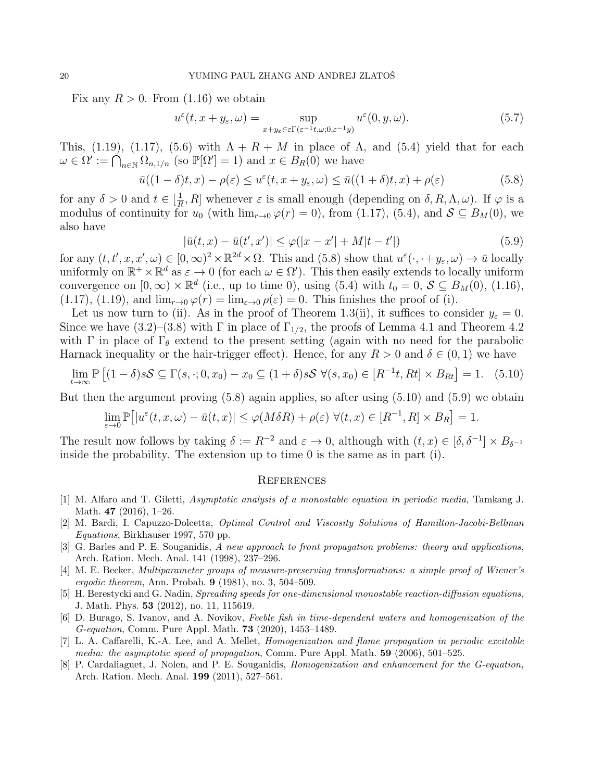Fix any  $R > 0$ . From (1.16) we obtain

$$
u^{\varepsilon}(t, x + y_{\varepsilon}, \omega) = \sup_{x + y_{\varepsilon} \in \varepsilon \Gamma(\varepsilon^{-1} t, \omega; 0, \varepsilon^{-1} y)} u^{\varepsilon}(0, y, \omega).
$$
 (5.7)

This, (1.19), (1.17), (5.6) with  $\Lambda + R + M$  in place of  $\Lambda$ , and (5.4) yield that for each  $\omega \in \Omega' := \bigcap_{n \in \mathbb{N}} \Omega_{n,1/n}$  (so  $\mathbb{P}[\Omega'] = 1$ ) and  $x \in B_R(0)$  we have

$$
\bar{u}((1-\delta)t,x) - \rho(\varepsilon) \le u^{\varepsilon}(t,x+y_{\varepsilon},\omega) \le \bar{u}((1+\delta)t,x) + \rho(\varepsilon)
$$
\n(5.8)

for any  $\delta > 0$  and  $t \in \left[\frac{1}{R}\right]$  $\frac{1}{R}$ , R] whenever  $\varepsilon$  is small enough (depending on  $\delta$ , R,  $\Lambda$ ,  $\omega$ ). If  $\varphi$  is a modulus of continuity for  $u_0$  (with  $\lim_{r\to 0} \varphi(r) = 0$ ), from (1.17), (5.4), and  $S \subseteq B_M(0)$ , we also have

$$
|\bar{u}(t,x) - \bar{u}(t',x')| \le \varphi(|x - x'| + M|t - t'|)
$$
\n(5.9)

for any  $(t, t', x, x', \omega) \in [0, \infty)^2 \times \mathbb{R}^{2d} \times \Omega$ . This and  $(5.8)$  show that  $u^{\varepsilon}(\cdot, \cdot+y_{\varepsilon}, \omega) \to \bar{u}$  locally uniformly on  $\mathbb{R}^+ \times \mathbb{R}^d$  as  $\varepsilon \to 0$  (for each  $\omega \in \Omega'$ ). This then easily extends to locally uniform convergence on  $[0, \infty) \times \mathbb{R}^d$  (i.e., up to time 0), using (5.4) with  $t_0 = 0$ ,  $S \subseteq B_M(0)$ , (1.16), (1.17), (1.19), and  $\lim_{r\to 0} \varphi(r) = \lim_{\varepsilon \to 0} \rho(\varepsilon) = 0$ . This finishes the proof of (i).

Let us now turn to (ii). As in the proof of Theorem 1.3(ii), it suffices to consider  $y_{\varepsilon} = 0$ . Since we have (3.2)–(3.8) with  $\Gamma$  in place of  $\Gamma_{1/2}$ , the proofs of Lemma 4.1 and Theorem 4.2 with  $\Gamma$  in place of  $\Gamma_{\theta}$  extend to the present setting (again with no need for the parabolic Harnack inequality or the hair-trigger effect). Hence, for any  $R > 0$  and  $\delta \in (0, 1)$  we have

$$
\lim_{t \to \infty} \mathbb{P}\left[ (1-\delta)s\mathcal{S} \subseteq \Gamma(s, \cdot; 0, x_0) - x_0 \subseteq (1+\delta)s\mathcal{S} \ \forall (s, x_0) \in [R^{-1}t, Rt] \times B_{Rt} \right] = 1. \tag{5.10}
$$

But then the argument proving (5.8) again applies, so after using (5.10) and (5.9) we obtain

$$
\lim_{\varepsilon \to 0} \mathbb{P}[|u^{\varepsilon}(t, x, \omega) - \bar{u}(t, x)| \le \varphi(M\delta R) + \rho(\varepsilon) \ \forall (t, x) \in [R^{-1}, R] \times B_R] = 1.
$$

The result now follows by taking  $\delta := R^{-2}$  and  $\varepsilon \to 0$ , although with  $(t, x) \in [\delta, \delta^{-1}] \times B_{\delta^{-1}}$ inside the probability. The extension up to time 0 is the same as in part (i).

#### **REFERENCES**

- [1] M. Alfaro and T. Giletti, Asymptotic analysis of a monostable equation in periodic media, Tamkang J. Math. 47 (2016), 1–26.
- [2] M. Bardi, I. Capuzzo-Dolcetta, Optimal Control and Viscosity Solutions of Hamilton-Jacobi-Bellman Equations, Birkhauser 1997, 570 pp.
- [3] G. Barles and P. E. Souganidis, A new approach to front propagation problems: theory and applications, Arch. Ration. Mech. Anal. 141 (1998), 237–296.
- [4] M. E. Becker, Multiparameter groups of measure-preserving transformations: a simple proof of Wiener's *ergodic theorem, Ann. Probab.* **9** (1981), no. 3, 504–509.
- [5] H. Berestycki and G. Nadin, Spreading speeds for one-dimensional monostable reaction-diffusion equations, J. Math. Phys. 53 (2012), no. 11, 115619.
- [6] D. Burago, S. Ivanov, and A. Novikov, Feeble fish in time-dependent waters and homogenization of the G-equation, Comm. Pure Appl. Math. 73 (2020), 1453–1489.
- [7] L. A. Caffarelli, K.-A. Lee, and A. Mellet, Homogenization and flame propagation in periodic excitable media: the asymptotic speed of propagation, Comm. Pure Appl. Math. 59 (2006), 501–525.
- [8] P. Cardaliaguet, J. Nolen, and P. E. Souganidis, Homogenization and enhancement for the G-equation, Arch. Ration. Mech. Anal. 199 (2011), 527–561.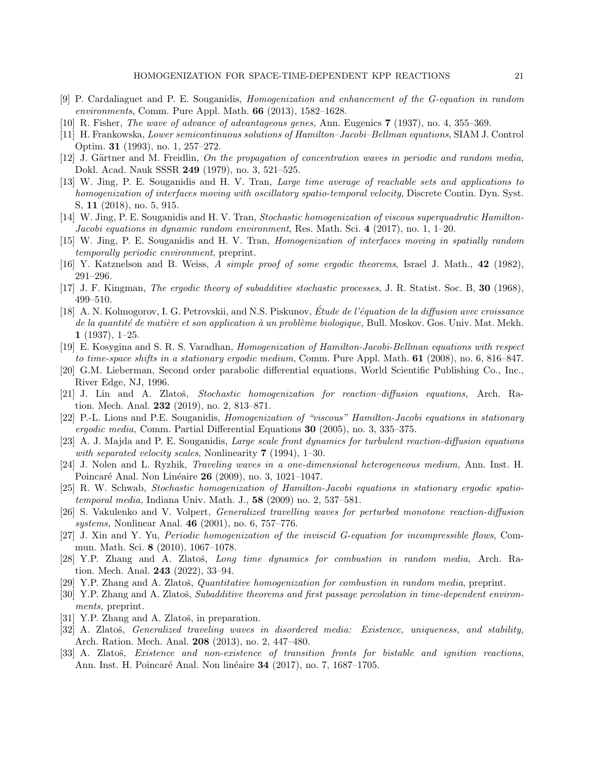- [9] P. Cardaliaguet and P. E. Souganidis, Homogenization and enhancement of the G-equation in random environments, Comm. Pure Appl. Math. 66 (2013), 1582–1628.
- [10] R. Fisher, The wave of advance of advantageous genes, Ann. Eugenics 7 (1937), no. 4, 355–369.
- [11] H. Frankowska, Lower semicontinuous solutions of Hamilton–Jacobi–Bellman equations, SIAM J. Control Optim. 31 (1993), no. 1, 257–272.
- [12] J. Gärtner and M. Freidlin, On the propagation of concentration waves in periodic and random media, Dokl. Acad. Nauk SSSR 249 (1979), no. 3, 521–525.
- [13] W. Jing, P. E. Souganidis and H. V. Tran, Large time average of reachable sets and applications to homogenization of interfaces moving with oscillatory spatio-temporal velocity, Discrete Contin. Dyn. Syst. S, 11 (2018), no. 5, 915.
- [14] W. Jing, P. E. Souganidis and H. V. Tran, Stochastic homogenization of viscous superquadratic Hamilton-Jacobi equations in dynamic random environment, Res. Math. Sci. 4 (2017), no. 1, 1–20.
- [15] W. Jing, P. E. Souganidis and H. V. Tran, Homogenization of interfaces moving in spatially random temporally periodic environment, preprint.
- [16] Y. Katznelson and B. Weiss, A simple proof of some ergodic theorems, Israel J. Math., 42 (1982), 291–296.
- [17] J. F. Kingman, The ergodic theory of subadditive stochastic processes, J. R. Statist. Soc. B, 30 (1968), 499–510.
- [18] A. N. Kolmogorov, I. G. Petrovskii, and N.S. Piskunov, Etude de l'équation de la diffusion avec croissance de la quantité de matière et son application à un problème biologique, Bull. Moskov. Gos. Univ. Mat. Mekh. 1 (1937), 1–25.
- [19] E. Kosygina and S. R. S. Varadhan, Homogenization of Hamilton-Jacobi-Bellman equations with respect to time-space shifts in a stationary ergodic medium, Comm. Pure Appl. Math. 61 (2008), no. 6, 816–847.
- [20] G.M. Lieberman, Second order parabolic differential equations, World Scientific Publishing Co., Inc., River Edge, NJ, 1996.
- [21] J. Lin and A. Zlatoš, Stochastic homogenization for reaction–diffusion equations, Arch. Ration. Mech. Anal. 232 (2019), no. 2, 813–871.
- [22] P.-L. Lions and P.E. Souganidis, Homogenization of "viscous" Hamilton-Jacobi equations in stationary ergodic media, Comm. Partial Differential Equations 30 (2005), no. 3, 335–375.
- [23] A. J. Majda and P. E. Souganidis, Large scale front dynamics for turbulent reaction-diffusion equations with separated velocity scales, Nonlinearity 7 (1994), 1–30.
- [24] J. Nolen and L. Ryzhik, Traveling waves in a one-dimensional heterogeneous medium, Ann. Inst. H. Poincaré Anal. Non Linéaire **26** (2009), no. 3, 1021–1047.
- [25] R. W. Schwab, Stochastic homogenization of Hamilton-Jacobi equations in stationary ergodic spatiotemporal media, Indiana Univ. Math. J., 58 (2009) no. 2, 537–581.
- [26] S. Vakulenko and V. Volpert, Generalized travelling waves for perturbed monotone reaction-diffusion systems, Nonlinear Anal. 46 (2001), no. 6, 757–776.
- [27] J. Xin and Y. Yu, Periodic homogenization of the inviscid G-equation for incompressible flows, Commun. Math. Sci. 8 (2010), 1067–1078.
- [28] Y.P. Zhang and A. Zlatoš, Long time dynamics for combustion in random media, Arch. Ration. Mech. Anal. 243 (2022), 33–94.
- [29] Y.P. Zhang and A. Zlatoš, *Quantitative homogenization for combustion in random media*, preprint.
- [30] Y.P. Zhang and A. Zlatoš, Subadditive theorems and first passage percolation in time-dependent environments, preprint.
- [31] Y.P. Zhang and A. Zlatoš, in preparation.
- [32] A. Zlatoš, *Generalized traveling waves in disordered media: Existence, uniqueness, and stability*, Arch. Ration. Mech. Anal. 208 (2013), no. 2, 447–480.
- [33] A. Zlatoš, *Existence and non-existence of transition fronts for bistable and ignition reactions*, Ann. Inst. H. Poincaré Anal. Non linéaire 34 (2017), no. 7, 1687–1705.